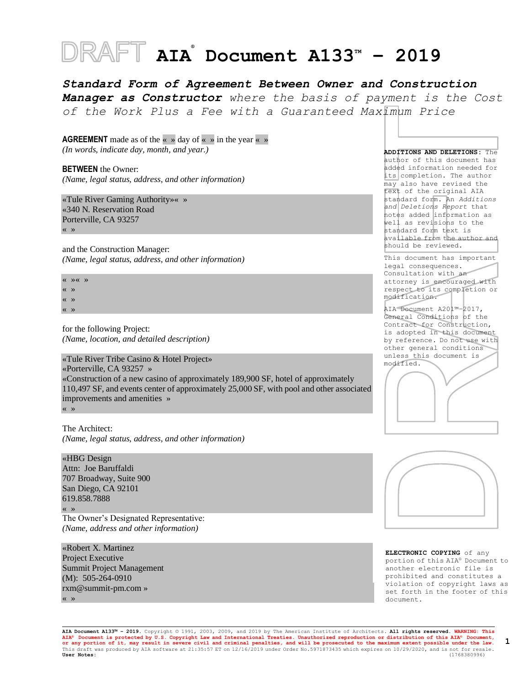# **AIA ® Document A133TM – 2019**

*Standard Form of Agreement Between Owner and Construction Manager as Constructor where the basis of payment is the Cost of the Work Plus a Fee with a Guaranteed Maximum Price*

**AGREEMENT** made as of the « » day of « » in the year « » *(In words, indicate day, month, and year.)*

**BETWEEN** the Owner: *(Name, legal status, address, and other information)*

«Tule River Gaming Authority»« » «340 N. Reservation Road Porterville, CA 93257 « »

and the Construction Manager: *(Name, legal status, address, and other information)*

« »« » « »

« »

« »

for the following Project: *(Name, location, and detailed description)*

«Tule River Tribe Casino & Hotel Project»

«Porterville, CA 93257 »

«Construction of a new casino of approximately 189,900 SF, hotel of approximately 110,497 SF, and events center of approximately 25,000 SF, with pool and other associated improvements and amenities »

« »

The Architect: *(Name, legal status, address, and other information)*

«HBG Design Attn: Joe Baruffaldi 707 Broadway, Suite 900 San Diego, CA 92101 619.858.7888 « »

The Owner's Designated Representative: *(Name, address and other information)*

«Robert X. Martinez Project Executive Summit Project Management (M): 505-264-0910 rxm@summit-pm.com » « »

**ADDITIONS AND DELETIONS:** The author of this document has added information needed for its completion. The author may also have revised the text of the original AIA standard form. An *Additions and Deletions Report* that notes added information as well as revisions to the standard form text is available from the author and should be reviewed.

This document has important legal consequences. Consultation with an attorney is encouraged with respect to its completion or modification.

AIA Document A201™–2017, General Conditions of the Contract for Construction, is adopted in this document by reference. Do not use with other general conditions unless this document is modified.





**ELECTRONIC COPYING** of any portion of this AIA® Document to another electronic file is prohibited and constitutes a violation of copyright laws as set forth in the footer of this document.

**AIA Document A133™ – 2019.** Copyright © 1991, 2003, 2009, and 2019 by The American Institute of Architects**. All rights reserved. WARNING: This**  AIA® Document is protected by U.S. Copyright Law and International Treaties. Unauthorized reproduction or distribution of this AIA® Document,<br>or any portion of it, may result in severe civil and criminal penalties, and wil This draft was produced by AIA software at 21:35:57 ET on 12/16/2019 under Order No.5971873435 which expires on 10/29/2020, and is not for resale.<br>**User Notes:** (1768380996) **User Notes:** (1768380996) **1**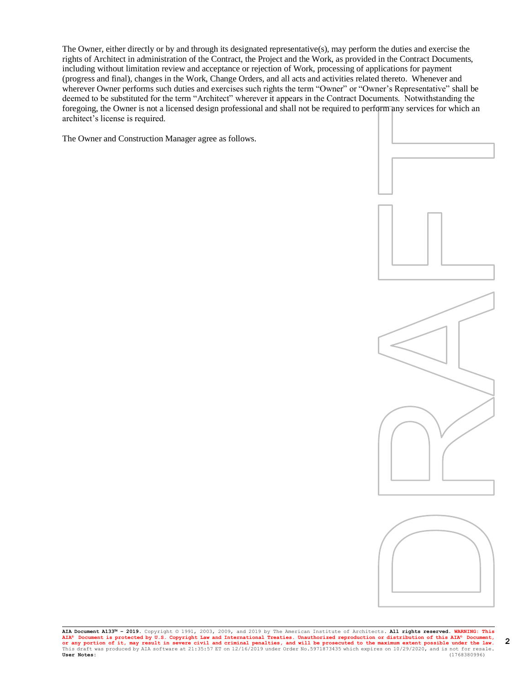The Owner, either directly or by and through its designated representative(s), may perform the duties and exercise the rights of Architect in administration of the Contract, the Project and the Work, as provided in the Contract Documents, including without limitation review and acceptance or rejection of Work, processing of applications for payment (progress and final), changes in the Work, Change Orders, and all acts and activities related thereto. Whenever and wherever Owner performs such duties and exercises such rights the term "Owner" or "Owner" s Representative" shall be deemed to be substituted for the term "Architect" wherever it appears in the Contract Documents. Notwithstanding the foregoing, the Owner is not a licensed design professional and shall not be required to perform any services for which an architect's license is required.

The Owner and Construction Manager agree as follows.





**AIA Document A133™ – 2019.** Copyright © 1991, 2003, 2009, and 2019 by The American Institute of Architects**. All rights reserved. WARNING: This**  AIA® Document is protected by U.S. Copyright Law and International Treaties. Unauthorized reproduction or distribution of this AIA® Document,<br>Or any portion of it, may result in severe civil and criminal penalties, and wil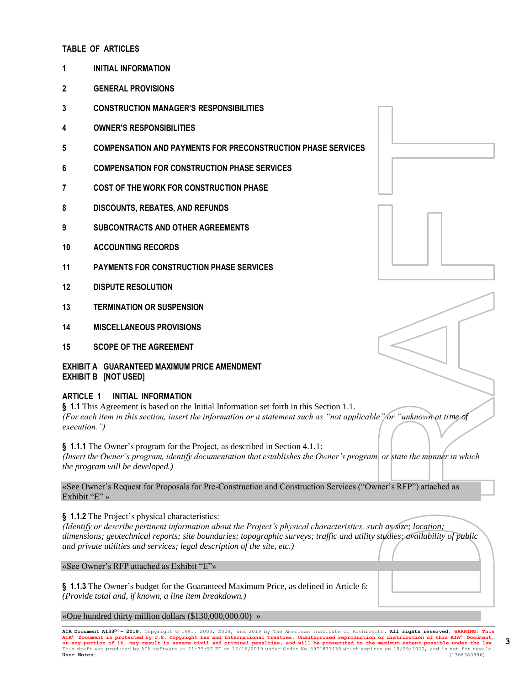### **TABLE OF ARTICLES**

- **1 INITIAL INFORMATION**
- **2 GENERAL PROVISIONS**
- **3 CONSTRUCTION MANAGER'S RESPONSIBILITIES**
- **4 OWNER'S RESPONSIBILITIES**
- **5 COMPENSATION AND PAYMENTS FOR PRECONSTRUCTION PHASE SERVICES**
- **6 COMPENSATION FOR CONSTRUCTION PHASE SERVICES**
- **7 COST OF THE WORK FOR CONSTRUCTION PHASE**
- **8 DISCOUNTS, REBATES, AND REFUNDS**
- **9 SUBCONTRACTS AND OTHER AGREEMENTS**
- **10 ACCOUNTING RECORDS**
- **11 PAYMENTS FOR CONSTRUCTION PHASE SERVICES**
- **12 DISPUTE RESOLUTION**
- **13 TERMINATION OR SUSPENSION**
- **14 MISCELLANEOUS PROVISIONS**
- **15 SCOPE OF THE AGREEMENT**

### **EXHIBIT A GUARANTEED MAXIMUM PRICE AMENDMENT EXHIBIT B [NOT USED]**

### **ARTICLE 1 INITIAL INFORMATION**

**§ 1.1** This Agreement is based on the Initial Information set forth in this Section 1.1. *(For each item in this section, insert the information or a statement such as "not applicable" or "unknown at time of execution.")*

**§ 1.1.1** The Owner's program for the Project, as described in Section 4.1.1: *(Insert the Owner's program, identify documentation that establishes the Owner's program, or state the manner in which the program will be developed.)*

«See Owner's Request for Proposals for Pre-Construction and Construction Services ("Owner's RFP") attached as Exhibit "E" »

**§ 1.1.2** The Project's physical characteristics:

*(Identify or describe pertinent information about the Project's physical characteristics, such as size; location; dimensions; geotechnical reports; site boundaries; topographic surveys; traffic and utility studies; availability of public and private utilities and services; legal description of the site, etc.)*

«See Owner's RFP attached as Exhibit "E"»

**§ 1.1.3** The Owner's budget for the Guaranteed Maximum Price, as defined in Article 6: *(Provide total and, if known, a line item breakdown.)*

«One hundred thirty million dollars (\$130,000,000.00) »

AIA Document A133<sup>™</sup> - 2019. Copyright © 1991, 2003, 2009, and 2019 by The American Institute of Architects. All rights reserved. **AIA® Document is protected by U.S. Copyright Law and International Treaties. Unauthorized reproduction or distribution of this AIA® Document, or any portion of it, may result in severe civil and criminal penalties, and will be prosecuted to the maximum extent possible under the law.** This draft was produced by AIA software at 21:35:57 ET on 12/16/2019 under Order No.5971873435 which expires on 10/29/2020, and is not for resale.<br>**User Notes:** (1768380996) **User Notes:** (1768380996)



**3**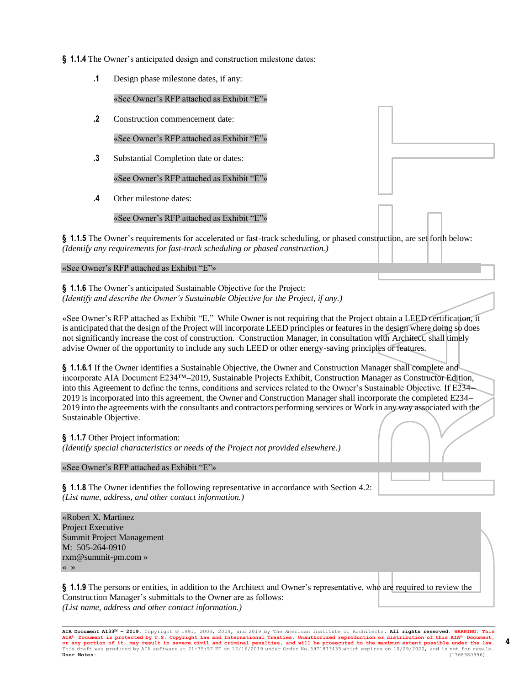- **§ 1.1.4** The Owner's anticipated design and construction milestone dates:
	- **.1** Design phase milestone dates, if any:

«See Owner's RFP attached as Exhibit "E"»

**.2** Construction commencement date:

«See Owner's RFP attached as Exhibit "E"»

**.3** Substantial Completion date or dates:

«See Owner's RFP attached as Exhibit "E"»

**.4** Other milestone dates:

«See Owner's RFP attached as Exhibit "E"»

**§ 1.1.5** The Owner's requirements for accelerated or fast-track scheduling, or phased construction, are set forth below: *(Identify any requirements for fast-track scheduling or phased construction.)*

### «See Owner's RFP attached as Exhibit "E"»

**§ 1.1.6** The Owner's anticipated Sustainable Objective for the Project: *(Identify and describe the Owner's Sustainable Objective for the Project, if any.)*

«See Owner's RFP attached as Exhibit "E." While Owner is not requiring that the Project obtain a LEED certification, it is anticipated that the design of the Project will incorporate LEED principles or features in the design where doing so does not significantly increase the cost of construction. Construction Manager, in consultation with Architect, shall timely advise Owner of the opportunity to include any such LEED or other energy-saving principles or features.

**§ 1.1.6.1** If the Owner identifies a Sustainable Objective, the Owner and Construction Manager shall complete and incorporate AIA Document E234™–2019, Sustainable Projects Exhibit, Construction Manager as Constructor Edition, into this Agreement to define the terms, conditions and services related to the Owner's Sustainable Objective. If E234– 2019 is incorporated into this agreement, the Owner and Construction Manager shall incorporate the completed E234– 2019 into the agreements with the consultants and contractors performing services or Work in any way associated with the Sustainable Objective.

**§ 1.1.7** Other Project information: *(Identify special characteristics or needs of the Project not provided elsewhere.)*

«See Owner's RFP attached as Exhibit "E"»

**§ 1.1.8** The Owner identifies the following representative in accordance with Section 4.2: *(List name, address, and other contact information.)*

«Robert X. Martinez Project Executive Summit Project Management M: 505-264-0910 rxm@summit-pm.com » « »

**§ 1.1.9** The persons or entities, in addition to the Architect and Owner's representative, who are required to review the Construction Manager's submittals to the Owner are as follows: *(List name, address and other contact information.)*

**AIA Document A133™ – 2019.** Copyright © 1991, 2003, 2009, and 2019 by The American Institute of Architects**. All rights reserved. WARNING: This AIA® Document is protected by U.S. Copyright Law and International Treaties. Unauthorized reproduction or distribution of this AIA® Document, or any portion of it, may result in severe civil and criminal penalties, and will be prosecuted to the maximum extent possible under the law.** This draft was produced by AIA software at 21:35:57 ET on 12/16/2019 under Order No.5971873435 which expires on 10/29/2020, and is not for resale.<br>**User Notes:** (1768380996) **User Notes:** (1768380996)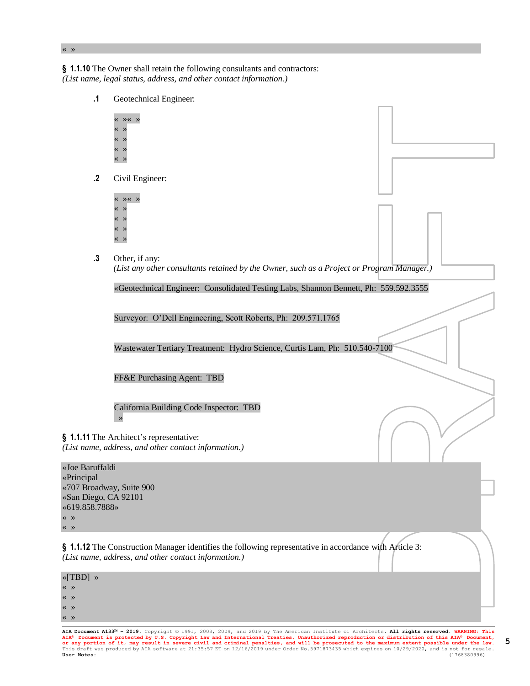**§ 1.1.10** The Owner shall retain the following consultants and contractors: *(List name, legal status, address, and other contact information.)*

**.1** Geotechnical Engineer: « »« » « » « » « » « » **.2** Civil Engineer: « »« » « » « » « » « » **.3** Other, if any: *(List any other consultants retained by the Owner, such as a Project or Program Manager.)* «Geotechnical Engineer: Consolidated Testing Labs, Shannon Bennett, Ph: 559.592.3555 Surveyor: O'Dell Engineering, Scott Roberts, Ph: 209.571.1765 Wastewater Tertiary Treatment: Hydro Science, Curtis Lam, Ph: 510.540-7100 FF&E Purchasing Agent: TBD California Building Code Inspector: TBD » **§ 1.1.11** The Architect's representative: *(List name, address, and other contact information.)* «Joe Baruffaldi «Principal «707 Broadway, Suite 900 «San Diego, CA 92101 «619.858.7888» **§ 1.1.12** The Construction Manager identifies the following representative in accordance with Article 3: *(List name, address, and other contact information.)* «[TBD] »

« » « » « »

« » « »

« »

**AIA Document A133™ – 2019.** Copyright © 1991, 2003, 2009, and 2019 by The American Institute of Architects**. All rights reserved. WARNING: This**  AIA® Document is protected by U.S. Copyright Law and International Treaties. Unauthorized reproduction or distribution of this AIA® Document,<br>Or any portion of it, may result in severe civil and criminal penalties, and wil

**5**

« »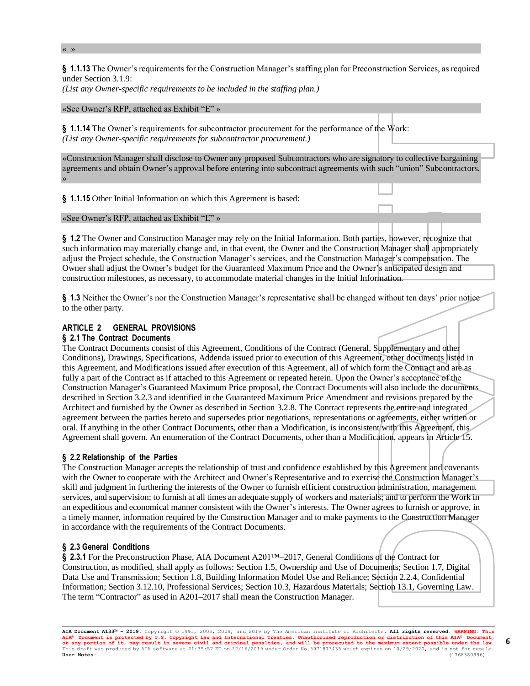**§ 1.1.13** The Owner's requirements for the Construction Manager's staffing plan for Preconstruction Services, as required under Section 3.1.9:

*(List any Owner-specific requirements to be included in the staffing plan.)*

#### «See Owner's RFP, attached as Exhibit "E" »

**§ 1.1.14** The Owner's requirements for subcontractor procurement for the performance of the Work: *(List any Owner-specific requirements for subcontractor procurement.)*

«Construction Manager shall disclose to Owner any proposed Subcontractors who are signatory to collective bargaining agreements and obtain Owner's approval before entering into subcontract agreements with such "union" Subcontractors. »

**§ 1.1.15** Other Initial Information on which this Agreement is based:

«See Owner's RFP, attached as Exhibit "E" »

**§ 1.2** The Owner and Construction Manager may rely on the Initial Information. Both parties, however, recognize that such information may materially change and, in that event, the Owner and the Construction Manager shall appropriately adjust the Project schedule, the Construction Manager's services, and the Construction Manager's compensation. The Owner shall adjust the Owner's budget for the Guaranteed Maximum Price and the Owner's anticipated design and construction milestones, as necessary, to accommodate material changes in the Initial Information.

**§ 1.3** Neither the Owner's nor the Construction Manager's representative shall be changed without ten days' prior notice to the other party.

### **ARTICLE 2 GENERAL PROVISIONS**

#### **§ 2.1 The Contract Documents**

The Contract Documents consist of this Agreement, Conditions of the Contract (General, Supplementary and other Conditions), Drawings, Specifications, Addenda issued prior to execution of this Agreement, other documents listed in this Agreement, and Modifications issued after execution of this Agreement, all of which form the Contract and are as fully a part of the Contract as if attached to this Agreement or repeated herein. Upon the Owner's acceptance of the Construction Manager's Guaranteed Maximum Price proposal, the Contract Documents will also include the documents described in Section 3.2.3 and identified in the Guaranteed Maximum Price Amendment and revisions prepared by the Architect and furnished by the Owner as described in Section 3.2.8. The Contract represents the entire and integrated agreement between the parties hereto and supersedes prior negotiations, representations or agreements, either written or oral. If anything in the other Contract Documents, other than a Modification, is inconsistent with this Agreement, this Agreement shall govern. An enumeration of the Contract Documents, other than a Modification, appears in Article 15.

### **§ 2.2 Relationship of the Parties**

The Construction Manager accepts the relationship of trust and confidence established by this Agreement and covenants with the Owner to cooperate with the Architect and Owner's Representative and to exercise the Construction Manager's skill and judgment in furthering the interests of the Owner to furnish efficient construction administration, management services, and supervision; to furnish at all times an adequate supply of workers and materials; and to perform the Work in an expeditious and economical manner consistent with the Owner's interests. The Owner agrees to furnish or approve, in a timely manner, information required by the Construction Manager and to make payments to the Construction Manager in accordance with the requirements of the Contract Documents.

### **§ 2.3 General Conditions**

**§ 2.3.1** For the Preconstruction Phase, AIA Document A201™–2017, General Conditions of the Contract for Construction, as modified, shall apply as follows: Section 1.5, Ownership and Use of Documents; Section 1.7, Digital Data Use and Transmission; Section 1.8, Building Information Model Use and Reliance; Section 2.2.4, Confidential Information; Section 3.12.10, Professional Services; Section 10.3, Hazardous Materials; Section 13.1, Governing Law. The term "Contractor" as used in A201–2017 shall mean the Construction Manager.

**6**

« »

**AIA Document A133™ – 2019.** Copyright © 1991, 2003, 2009, and 2019 by The American Institute of Architects**. All rights reserved. WARNING: This AIA® Document is protected by U.S. Copyright Law and International Treaties. Unauthorized reproduction or distribution of this AIA® Document, or any portion of it, may result in severe civil and criminal penalties, and will be prosecuted to the maximum extent possible under the law.** This draft was produced by AIA software at 21:35:57 ET on 12/16/2019 under Order No.5971873435 which expires on 10/29/2020, and is not for resale.<br>**User Notes:** (1768380996) **User Notes:** (1768380996)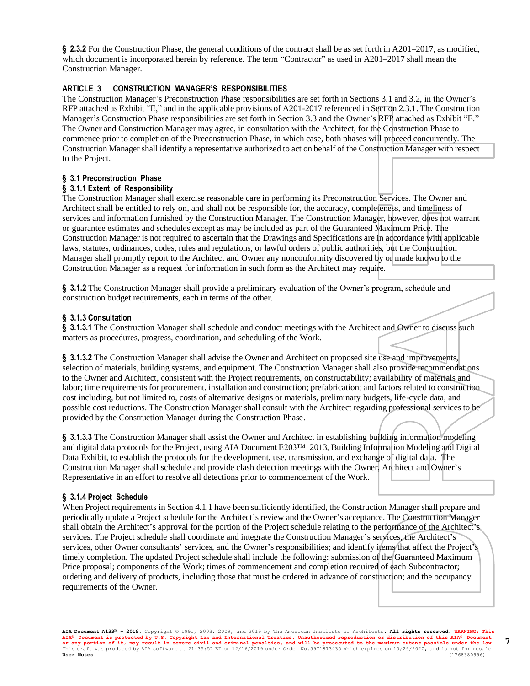**§ 2.3.2** For the Construction Phase, the general conditions of the contract shall be as set forth in A201–2017, as modified, which document is incorporated herein by reference. The term "Contractor" as used in A201–2017 shall mean the Construction Manager.

# **ARTICLE 3 CONSTRUCTION MANAGER'S RESPONSIBILITIES**

The Construction Manager's Preconstruction Phase responsibilities are set forth in Sections 3.1 and 3.2, in the Owner's RFP attached as Exhibit "E," and in the applicable provisions of A201-2017 referenced in Section 2.3.1. The Construction Manager's Construction Phase responsibilities are set forth in Section 3.3 and the Owner's RFP attached as Exhibit "E." The Owner and Construction Manager may agree, in consultation with the Architect, for the Construction Phase to commence prior to completion of the Preconstruction Phase, in which case, both phases will proceed concurrently. The Construction Manager shall identify a representative authorized to act on behalf of the Construction Manager with respect to the Project.

# **§ 3.1 Preconstruction Phase**

# **§ 3.1.1 Extent of Responsibility**

The Construction Manager shall exercise reasonable care in performing its Preconstruction Services. The Owner and Architect shall be entitled to rely on, and shall not be responsible for, the accuracy, completeness, and timeliness of services and information furnished by the Construction Manager. The Construction Manager, however, does not warrant or guarantee estimates and schedules except as may be included as part of the Guaranteed Maximum Price. The Construction Manager is not required to ascertain that the Drawings and Specifications are in accordance with applicable laws, statutes, ordinances, codes, rules and regulations, or lawful orders of public authorities, but the Construction Manager shall promptly report to the Architect and Owner any nonconformity discovered by or made known to the Construction Manager as a request for information in such form as the Architect may require.

**§ 3.1.2** The Construction Manager shall provide a preliminary evaluation of the Owner's program, schedule and construction budget requirements, each in terms of the other.

# **§ 3.1.3 Consultation**

**§ 3.1.3.1** The Construction Manager shall schedule and conduct meetings with the Architect and Owner to discuss such matters as procedures, progress, coordination, and scheduling of the Work.

**§ 3.1.3.2** The Construction Manager shall advise the Owner and Architect on proposed site use and improvements, selection of materials, building systems, and equipment. The Construction Manager shall also provide recommendations to the Owner and Architect, consistent with the Project requirements, on constructability; availability of materials and labor; time requirements for procurement, installation and construction; prefabrication; and factors related to construction cost including, but not limited to, costs of alternative designs or materials, preliminary budgets, life-cycle data, and possible cost reductions. The Construction Manager shall consult with the Architect regarding professional services to be provided by the Construction Manager during the Construction Phase.

**§ 3.1.3.3** The Construction Manager shall assist the Owner and Architect in establishing building information modeling and digital data protocols for the Project, using AIA Document E203™–2013, Building Information Modeling and Digital Data Exhibit, to establish the protocols for the development, use, transmission, and exchange of digital data. The Construction Manager shall schedule and provide clash detection meetings with the Owner, Architect and Owner's Representative in an effort to resolve all detections prior to commencement of the Work.

# **§ 3.1.4 Project Schedule**

When Project requirements in Section 4.1.1 have been sufficiently identified, the Construction Manager shall prepare and periodically update a Project schedule for the Architect's review and the Owner's acceptance. The Construction Manager shall obtain the Architect's approval for the portion of the Project schedule relating to the performance of the Architect's services. The Project schedule shall coordinate and integrate the Construction Manager's services, the Architect's services, other Owner consultants' services, and the Owner's responsibilities; and identify items that affect the Project's timely completion. The updated Project schedule shall include the following: submission of the Guaranteed Maximum Price proposal; components of the Work; times of commencement and completion required of each Subcontractor; ordering and delivery of products, including those that must be ordered in advance of construction; and the occupancy requirements of the Owner.

**AIA Document A133™ – 2019.** Copyright © 1991, 2003, 2009, and 2019 by The American Institute of Architects**. All rights reserved. WARNING: This AIA® Document is protected by U.S. Copyright Law and International Treaties. Unauthorized reproduction or distribution of this AIA® Document, or any portion of it, may result in severe civil and criminal penalties, and will be prosecuted to the maximum extent possible under the law.** This draft was produced by AIA software at 21:35:57 ET on 12/16/2019 under Order No.5971873435 which expires on 10/29/2020, and is not for resale.<br>**User Notes:** (1768380996) **User Notes:** (1768380996)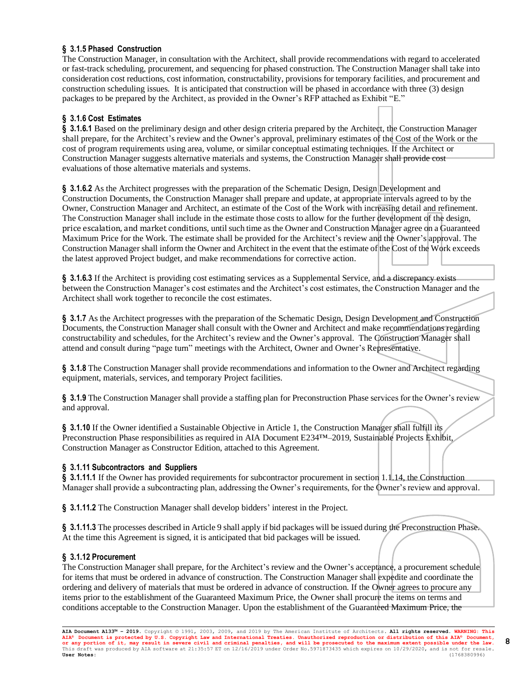# **§ 3.1.5 Phased Construction**

The Construction Manager, in consultation with the Architect, shall provide recommendations with regard to accelerated or fast-track scheduling, procurement, and sequencing for phased construction. The Construction Manager shall take into consideration cost reductions, cost information, constructability, provisions for temporary facilities, and procurement and construction scheduling issues. It is anticipated that construction will be phased in accordance with three (3) design packages to be prepared by the Architect, as provided in the Owner's RFP attached as Exhibit "E."

# **§ 3.1.6 Cost Estimates**

**§ 3.1.6.1** Based on the preliminary design and other design criteria prepared by the Architect, the Construction Manager shall prepare, for the Architect's review and the Owner's approval, preliminary estimates of the Cost of the Work or the cost of program requirements using area, volume, or similar conceptual estimating techniques. If the Architect or Construction Manager suggests alternative materials and systems, the Construction Manager shall provide cost evaluations of those alternative materials and systems.

**§ 3.1.6.2** As the Architect progresses with the preparation of the Schematic Design, Design Development and Construction Documents, the Construction Manager shall prepare and update, at appropriate intervals agreed to by the Owner, Construction Manager and Architect, an estimate of the Cost of the Work with increasing detail and refinement. The Construction Manager shall include in the estimate those costs to allow for the further development of the design, price escalation, and market conditions, until such time as the Owner and Construction Manager agree on a Guaranteed Maximum Price for the Work. The estimate shall be provided for the Architect's review and the Owner's approval. The Construction Manager shall inform the Owner and Architect in the event that the estimate of the Cost of the Work exceeds the latest approved Project budget, and make recommendations for corrective action.

**§ 3.1.6.3** If the Architect is providing cost estimating services as a Supplemental Service, and a discrepancy exists between the Construction Manager's cost estimates and the Architect's cost estimates, the Construction Manager and the Architect shall work together to reconcile the cost estimates.

**§ 3.1.7** As the Architect progresses with the preparation of the Schematic Design, Design Development and Construction Documents, the Construction Manager shall consult with the Owner and Architect and make recommendations regarding constructability and schedules, for the Architect's review and the Owner's approval. The Construction Manager shall attend and consult during "page turn" meetings with the Architect, Owner and Owner's Representative.

**§ 3.1.8** The Construction Manager shall provide recommendations and information to the Owner and Architect regarding equipment, materials, services, and temporary Project facilities.

**§ 3.1.9** The Construction Manager shall provide a staffing plan for Preconstruction Phase services for the Owner's review and approval.

**§ 3.1.10** If the Owner identified a Sustainable Objective in Article 1, the Construction Manager shall fulfill its Preconstruction Phase responsibilities as required in AIA Document E234™–2019, Sustainable Projects Exhibit, Construction Manager as Constructor Edition, attached to this Agreement.

### **§ 3.1.11 Subcontractors and Suppliers**

**§ 3.1.11.1** If the Owner has provided requirements for subcontractor procurement in section 1.1.14, the Construction Manager shall provide a subcontracting plan, addressing the Owner's requirements, for the Owner's review and approval.

**§ 3.1.11.2** The Construction Manager shall develop bidders' interest in the Project.

**§ 3.1.11.3** The processes described in Article 9 shall apply if bid packages will be issued during the Preconstruction Phase. At the time this Agreement is signed, it is anticipated that bid packages will be issued.

### **§ 3.1.12 Procurement**

The Construction Manager shall prepare, for the Architect's review and the Owner's acceptance, a procurement schedule for items that must be ordered in advance of construction. The Construction Manager shall expedite and coordinate the ordering and delivery of materials that must be ordered in advance of construction. If the Owner agrees to procure any items prior to the establishment of the Guaranteed Maximum Price, the Owner shall procure the items on terms and conditions acceptable to the Construction Manager. Upon the establishment of the Guaranteed Maximum Price, the

**8**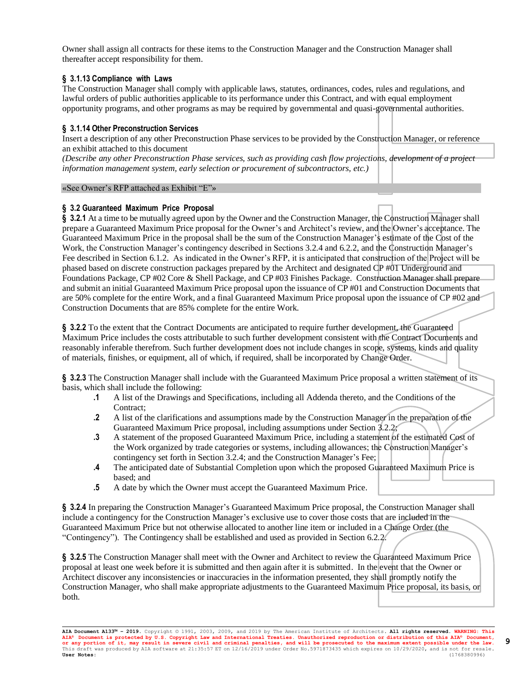Owner shall assign all contracts for these items to the Construction Manager and the Construction Manager shall thereafter accept responsibility for them.

# **§ 3.1.13 Compliance with Laws**

The Construction Manager shall comply with applicable laws, statutes, ordinances, codes, rules and regulations, and lawful orders of public authorities applicable to its performance under this Contract, and with equal employment opportunity programs, and other programs as may be required by governmental and quasi-governmental authorities.

# **§ 3.1.14 Other Preconstruction Services**

Insert a description of any other Preconstruction Phase services to be provided by the Construction Manager, or reference an exhibit attached to this document

*(Describe any other Preconstruction Phase services, such as providing cash flow projections, development of a project information management system, early selection or procurement of subcontractors, etc.)*

### «See Owner's RFP attached as Exhibit "E"»

### **§ 3.2 Guaranteed Maximum Price Proposal**

**§ 3.2.1** At a time to be mutually agreed upon by the Owner and the Construction Manager, the Construction Manager shall prepare a Guaranteed Maximum Price proposal for the Owner's and Architect's review, and the Owner's acceptance. The Guaranteed Maximum Price in the proposal shall be the sum of the Construction Manager's estimate of the Cost of the Work, the Construction Manager's contingency described in Sections 3.2.4 and 6.2.2, and the Construction Manager's Fee described in Section 6.1.2. As indicated in the Owner's RFP, it is anticipated that construction of the Project will be phased based on discrete construction packages prepared by the Architect and designated CP #01 Underground and Foundations Package, CP #02 Core & Shell Package, and CP #03 Finishes Package. Construction Manager shall prepare and submit an initial Guaranteed Maximum Price proposal upon the issuance of CP #01 and Construction Documents that are 50% complete for the entire Work, and a final Guaranteed Maximum Price proposal upon the issuance of CP #02 and Construction Documents that are 85% complete for the entire Work.

**§ 3.2.2** To the extent that the Contract Documents are anticipated to require further development, the Guaranteed Maximum Price includes the costs attributable to such further development consistent with the Contract Documents and reasonably inferable therefrom. Such further development does not include changes in scope, systems, kinds and quality of materials, finishes, or equipment, all of which, if required, shall be incorporated by Change Order.

**§ 3.2.3** The Construction Manager shall include with the Guaranteed Maximum Price proposal a written statement of its basis, which shall include the following:

- **.1** A list of the Drawings and Specifications, including all Addenda thereto, and the Conditions of the Contract;
- **.2** A list of the clarifications and assumptions made by the Construction Manager in the preparation of the Guaranteed Maximum Price proposal, including assumptions under Section 3.2.2;
- **.3** A statement of the proposed Guaranteed Maximum Price, including a statement of the estimated Cost of the Work organized by trade categories or systems, including allowances; the Construction Manager's contingency set forth in Section 3.2.4; and the Construction Manager's Fee;
- **.4** The anticipated date of Substantial Completion upon which the proposed Guaranteed Maximum Price is based; and
- **.5** A date by which the Owner must accept the Guaranteed Maximum Price.

**§ 3.2.4** In preparing the Construction Manager's Guaranteed Maximum Price proposal, the Construction Manager shall include a contingency for the Construction Manager's exclusive use to cover those costs that are included in the Guaranteed Maximum Price but not otherwise allocated to another line item or included in a Change Order (the "Contingency"). The Contingency shall be established and used as provided in Section 6.2.2.

**§ 3.2.5** The Construction Manager shall meet with the Owner and Architect to review the Guaranteed Maximum Price proposal at least one week before it is submitted and then again after it is submitted. In the event that the Owner or Architect discover any inconsistencies or inaccuracies in the information presented, they shall promptly notify the Construction Manager, who shall make appropriate adjustments to the Guaranteed Maximum Price proposal, its basis, or both.

**AIA Document A133™ – 2019.** Copyright © 1991, 2003, 2009, and 2019 by The American Institute of Architects**. All rights reserved. WARNING: This AIA® Document is protected by U.S. Copyright Law and International Treaties. Unauthorized reproduction or distribution of this AIA® Document, or any portion of it, may result in severe civil and criminal penalties, and will be prosecuted to the maximum extent possible under the law.** This draft was produced by AIA software at 21:35:57 ET on 12/16/2019 under Order No.5971873435 which expires on 10/29/2020, and is not for resale.<br>**User Notes:** (1768380996) **User Notes:** (1768380996)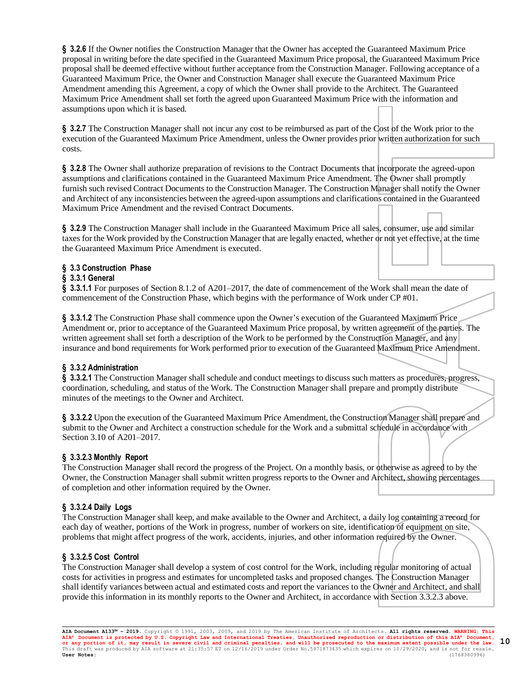**§ 3.2.6** If the Owner notifies the Construction Manager that the Owner has accepted the Guaranteed Maximum Price proposal in writing before the date specified in the Guaranteed Maximum Price proposal, the Guaranteed Maximum Price proposal shall be deemed effective without further acceptance from the Construction Manager. Following acceptance of a Guaranteed Maximum Price, the Owner and Construction Manager shall execute the Guaranteed Maximum Price Amendment amending this Agreement, a copy of which the Owner shall provide to the Architect. The Guaranteed Maximum Price Amendment shall set forth the agreed upon Guaranteed Maximum Price with the information and assumptions upon which it is based.

**§ 3.2.7** The Construction Manager shall not incur any cost to be reimbursed as part of the Cost of the Work prior to the execution of the Guaranteed Maximum Price Amendment, unless the Owner provides prior written authorization for such costs.

**§ 3.2.8** The Owner shall authorize preparation of revisions to the Contract Documents that incorporate the agreed-upon assumptions and clarifications contained in the Guaranteed Maximum Price Amendment. The Owner shall promptly furnish such revised Contract Documents to the Construction Manager. The Construction Manager shall notify the Owner and Architect of any inconsistencies between the agreed-upon assumptions and clarifications contained in the Guaranteed Maximum Price Amendment and the revised Contract Documents.

**§ 3.2.9** The Construction Manager shall include in the Guaranteed Maximum Price all sales, consumer, use and similar taxes for the Work provided by the Construction Manager that are legally enacted, whether or not yet effective, at the time the Guaranteed Maximum Price Amendment is executed.

# **§ 3.3 Construction Phase**

### **§ 3.3.1 General**

**§ 3.3.1.1** For purposes of Section 8.1.2 of A201–2017, the date of commencement of the Work shall mean the date of commencement of the Construction Phase, which begins with the performance of Work under CP #01.

**§ 3.3.1.2** The Construction Phase shall commence upon the Owner's execution of the Guaranteed Maximum Price Amendment or, prior to acceptance of the Guaranteed Maximum Price proposal, by written agreement of the parties. The written agreement shall set forth a description of the Work to be performed by the Construction Manager, and any insurance and bond requirements for Work performed prior to execution of the Guaranteed Maximum Price Amendment.

### **§ 3.3.2 Administration**

**§ 3.3.2.1** The Construction Manager shall schedule and conduct meetings to discuss such matters as procedures, progress, coordination, scheduling, and status of the Work. The Construction Manager shall prepare and promptly distribute minutes of the meetings to the Owner and Architect.

**§ 3.3.2.2** Upon the execution of the Guaranteed Maximum Price Amendment, the Construction Manager shall prepare and submit to the Owner and Architect a construction schedule for the Work and a submittal schedule in accordance with Section 3.10 of A201–2017.

### **§ 3.3.2.3 Monthly Report**

The Construction Manager shall record the progress of the Project. On a monthly basis, or otherwise as agreed to by the Owner, the Construction Manager shall submit written progress reports to the Owner and Architect, showing percentages of completion and other information required by the Owner.

### **§ 3.3.2.4 Daily Logs**

The Construction Manager shall keep, and make available to the Owner and Architect, a daily log containing a record for each day of weather, portions of the Work in progress, number of workers on site, identification of equipment on site, problems that might affect progress of the work, accidents, injuries, and other information required by the Owner.

### **§ 3.3.2.5 Cost Control**

The Construction Manager shall develop a system of cost control for the Work, including regular monitoring of actual costs for activities in progress and estimates for uncompleted tasks and proposed changes. The Construction Manager shall identify variances between actual and estimated costs and report the variances to the Owner and Architect, and shall provide this information in its monthly reports to the Owner and Architect, in accordance with Section 3.3.2.3 above.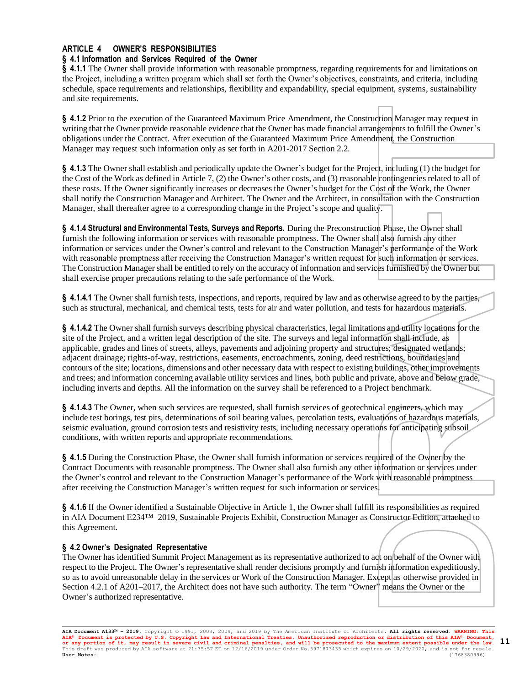# **ARTICLE 4 OWNER'S RESPONSIBILITIES**

### **§ 4.1 Information and Services Required of the Owner**

**§ 4.1.1** The Owner shall provide information with reasonable promptness, regarding requirements for and limitations on the Project, including a written program which shall set forth the Owner's objectives, constraints, and criteria, including schedule, space requirements and relationships, flexibility and expandability, special equipment, systems, sustainability and site requirements.

**§ 4.1.2** Prior to the execution of the Guaranteed Maximum Price Amendment, the Construction Manager may request in writing that the Owner provide reasonable evidence that the Owner has made financial arrangements to fulfill the Owner's obligations under the Contract. After execution of the Guaranteed Maximum Price Amendment, the Construction Manager may request such information only as set forth in A201-2017 Section 2.2.

**§ 4.1.3** The Owner shall establish and periodically update the Owner's budget for the Project, including (1) the budget for the Cost of the Work as defined in Article 7, (2) the Owner's other costs, and (3) reasonable contingencies related to all of these costs. If the Owner significantly increases or decreases the Owner's budget for the Cost of the Work, the Owner shall notify the Construction Manager and Architect. The Owner and the Architect, in consultation with the Construction Manager, shall thereafter agree to a corresponding change in the Project's scope and quality.

**§ 4.1.4 Structural and Environmental Tests, Surveys and Reports.** During the Preconstruction Phase, the Owner shall furnish the following information or services with reasonable promptness. The Owner shall also furnish any other information or services under the Owner's control and relevant to the Construction Manager's performance of the Work with reasonable promptness after receiving the Construction Manager's written request for such information or services. The Construction Manager shall be entitled to rely on the accuracy of information and services furnished by the Owner but shall exercise proper precautions relating to the safe performance of the Work.

**§ 4.1.4.1** The Owner shall furnish tests, inspections, and reports, required by law and as otherwise agreed to by the parties, such as structural, mechanical, and chemical tests, tests for air and water pollution, and tests for hazardous materials.

**§ 4.1.4.2** The Owner shall furnish surveys describing physical characteristics, legal limitations and utility locations for the site of the Project, and a written legal description of the site. The surveys and legal information shall include, as applicable, grades and lines of streets, alleys, pavements and adjoining property and structures; designated wetlands; adjacent drainage; rights-of-way, restrictions, easements, encroachments, zoning, deed restrictions, boundaries and contours of the site; locations, dimensions and other necessary data with respect to existing buildings, other improvements and trees; and information concerning available utility services and lines, both public and private, above and below grade, including inverts and depths. All the information on the survey shall be referenced to a Project benchmark.

**§ 4.1.4.3** The Owner, when such services are requested, shall furnish services of geotechnical engineers, which may include test borings, test pits, determinations of soil bearing values, percolation tests, evaluations of hazardous materials, seismic evaluation, ground corrosion tests and resistivity tests, including necessary operations for anticipating subsoil conditions, with written reports and appropriate recommendations.

**§ 4.1.5** During the Construction Phase, the Owner shall furnish information or services required of the Owner by the Contract Documents with reasonable promptness. The Owner shall also furnish any other information or services under the Owner's control and relevant to the Construction Manager's performance of the Work with reasonable promptness after receiving the Construction Manager's written request for such information or services.

**§ 4.1.6** If the Owner identified a Sustainable Objective in Article 1, the Owner shall fulfill its responsibilities as required in AIA Document E234™–2019, Sustainable Projects Exhibit, Construction Manager as Constructor Edition, attached to this Agreement.

### **§ 4.2 Owner's Designated Representative**

The Owner has identified Summit Project Management as its representative authorized to act on behalf of the Owner with respect to the Project. The Owner's representative shall render decisions promptly and furnish information expeditiously, so as to avoid unreasonable delay in the services or Work of the Construction Manager. Except as otherwise provided in Section 4.2.1 of A201–2017, the Architect does not have such authority. The term "Owner" means the Owner or the Owner's authorized representative.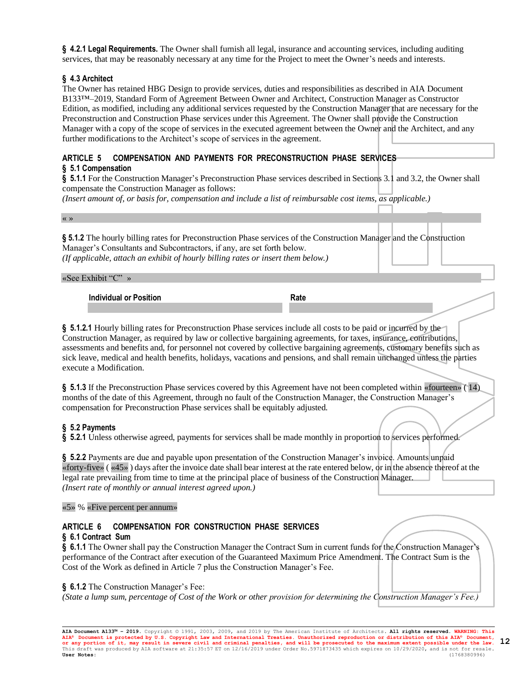**§ 4.2.1 Legal Requirements.** The Owner shall furnish all legal, insurance and accounting services, including auditing services, that may be reasonably necessary at any time for the Project to meet the Owner's needs and interests.

# **§ 4.3 Architect**

The Owner has retained HBG Design to provide services, duties and responsibilities as described in AIA Document B133™–2019, Standard Form of Agreement Between Owner and Architect, Construction Manager as Constructor Edition, as modified, including any additional services requested by the Construction Manager that are necessary for the Preconstruction and Construction Phase services under this Agreement. The Owner shall provide the Construction Manager with a copy of the scope of services in the executed agreement between the Owner and the Architect, and any further modifications to the Architect's scope of services in the agreement.

# **ARTICLE 5 COMPENSATION AND PAYMENTS FOR PRECONSTRUCTION PHASE SERVICES**

### **§ 5.1 Compensation**

**§ 5.1.1** For the Construction Manager's Preconstruction Phase services described in Sections 3.1 and 3.2, the Owner shall compensate the Construction Manager as follows:

*(Insert amount of, or basis for, compensation and include a list of reimbursable cost items, as applicable.)*

« »

**§ 5.1.2** The hourly billing rates for Preconstruction Phase services of the Construction Manager and the Construction Manager's Consultants and Subcontractors, if any, are set forth below.

*(If applicable, attach an exhibit of hourly billing rates or insert them below.)*

#### «See Exhibit "C" »

**Individual or Position Rate** 

**§ 5.1.2.1** Hourly billing rates for Preconstruction Phase services include all costs to be paid or incurred by the Construction Manager, as required by law or collective bargaining agreements, for taxes, insurance, contributions, assessments and benefits and, for personnel not covered by collective bargaining agreements, customary benefits such as sick leave, medical and health benefits, holidays, vacations and pensions, and shall remain unchanged unless the parties execute a Modification.

**§ 5.1.3** If the Preconstruction Phase services covered by this Agreement have not been completed within «fourteen» ( 14) months of the date of this Agreement, through no fault of the Construction Manager, the Construction Manager's compensation for Preconstruction Phase services shall be equitably adjusted.

### **§ 5.2 Payments**

**§ 5.2.1** Unless otherwise agreed, payments for services shall be made monthly in proportion to services performed.

**§ 5.2.2** Payments are due and payable upon presentation of the Construction Manager's invoice. Amounts unpaid «forty-five» ( «45» ) days after the invoice date shall bear interest at the rate entered below, or in the absence thereof at the legal rate prevailing from time to time at the principal place of business of the Construction Manager. *(Insert rate of monthly or annual interest agreed upon.)*

«5» % «Five percent per annum»

# **ARTICLE 6 COMPENSATION FOR CONSTRUCTION PHASE SERVICES**

### **§ 6.1 Contract Sum**

**§ 6.1.1** The Owner shall pay the Construction Manager the Contract Sum in current funds for the Construction Manager's performance of the Contract after execution of the Guaranteed Maximum Price Amendment. The Contract Sum is the Cost of the Work as defined in Article 7 plus the Construction Manager's Fee.

### **§ 6.1.2** The Construction Manager's Fee:

*(State a lump sum, percentage of Cost of the Work or other provision for determining the Construction Manager's Fee.)*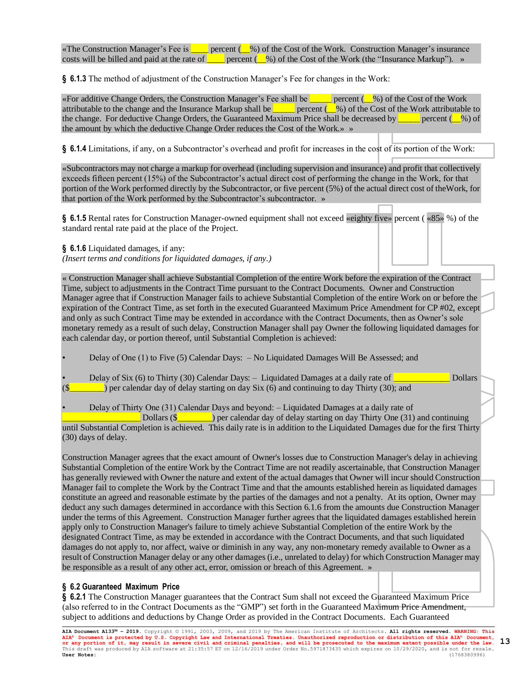«The Construction Manager's Fee is  $\Box$  percent ( $\Box$ %) of the Cost of the Work. Construction Manager's insurance costs will be billed and paid at the rate of **percent** ( $\%$ ) of the Cost of the Work (the "Insurance Markup"). »

**§ 6.1.3** The method of adjustment of the Construction Manager's Fee for changes in the Work:

«For additive Change Orders, the Construction Manager's Fee shall be \_\_\_\_\_ percent (\_\_%) of the Cost of the Work attributable to the change and the Insurance Markup shall be <u>equilibution</u> percent ( $\frac{1}{s}$ %) of the Cost of the Work attributable to the change. For deductive Change Orders, the Guaranteed Maximum Price shall be decreased by  $\Box$  percent ( $\Box$ %) of the amount by which the deductive Change Order reduces the Cost of the Work.» »

**§ 6.1.4** Limitations, if any, on a Subcontractor's overhead and profit for increases in the cost of its portion of the Work:

«Subcontractors may not charge a markup for overhead (including supervision and insurance) and profit that collectively exceeds fifteen percent (15%) of the Subcontractor's actual direct cost of performing the change in the Work, for that portion of the Work performed directly by the Subcontractor, or five percent (5%) of the actual direct cost of theWork, for that portion of the Work performed by the Subcontractor's subcontractor. »

**§ 6.1.5** Rental rates for Construction Manager-owned equipment shall not exceed «eighty five» percent ( «85» %) of the standard rental rate paid at the place of the Project.

**§ 6.1.6** Liquidated damages, if any:

*(Insert terms and conditions for liquidated damages, if any.)*

« Construction Manager shall achieve Substantial Completion of the entire Work before the expiration of the Contract Time, subject to adjustments in the Contract Time pursuant to the Contract Documents. Owner and Construction Manager agree that if Construction Manager fails to achieve Substantial Completion of the entire Work on or before the expiration of the Contract Time, as set forth in the executed Guaranteed Maximum Price Amendment for CP #02, except and only as such Contract Time may be extended in accordance with the Contract Documents, then as Owner's sole monetary remedy as a result of such delay, Construction Manager shall pay Owner the following liquidated damages for each calendar day, or portion thereof, until Substantial Completion is achieved:

• Delay of One (1) to Five (5) Calendar Days: – No Liquidated Damages Will Be Assessed; and

• Delay of Six (6) to Thirty (30) Calendar Days: – Liquidated Damages at a daily rate of \_\_\_\_\_\_\_\_\_\_\_\_\_ Dollars  $(\$$  ) per calendar day of delay starting on day Six (6) and continuing to day Thirty (30); and

• Delay of Thirty One (31) Calendar Days and beyond: – Liquidated Damages at a daily rate of Dollars (\$<u>\_\_\_\_\_\_</u>) per calendar day of delay starting on day Thirty One (31) and continuing until Substantial Completion is achieved. This daily rate is in addition to the Liquidated Damages due for the first Thirty (30) days of delay.

Construction Manager agrees that the exact amount of Owner's losses due to Construction Manager's delay in achieving Substantial Completion of the entire Work by the Contract Time are not readily ascertainable, that Construction Manager has generally reviewed with Owner the nature and extent of the actual damages that Owner will incur should Construction Manager fail to complete the Work by the Contract Time and that the amounts established herein as liquidated damages constitute an agreed and reasonable estimate by the parties of the damages and not a penalty. At its option, Owner may deduct any such damages determined in accordance with this Section 6.1.6 from the amounts due Construction Manager under the terms of this Agreement. Construction Manager further agrees that the liquidated damages established herein apply only to Construction Manager's failure to timely achieve Substantial Completion of the entire Work by the designated Contract Time, as may be extended in accordance with the Contract Documents, and that such liquidated damages do not apply to, nor affect, waive or diminish in any way, any non-monetary remedy available to Owner as a result of Construction Manager delay or any other damages (i.e., unrelated to delay) for which Construction Manager may be responsible as a result of any other act, error, omission or breach of this Agreement. »

# **§ 6.2 Guaranteed Maximum Price**

**§ 6.2.1** The Construction Manager guarantees that the Contract Sum shall not exceed the Guaranteed Maximum Price (also referred to in the Contract Documents as the "GMP") set forth in the Guaranteed Maximum Price Amendment, subject to additions and deductions by Change Order as provided in the Contract Documents. Each Guaranteed

**AIA Document A133™ – 2019.** Copyright © 1991, 2003, 2009, and 2019 by The American Institute of Architects**. All rights reserved. WARNING: This AIA® Document is protected by U.S. Copyright Law and International Treaties. Unauthorized reproduction or distribution of this AIA® Document, or any portion of it, may result in severe civil and criminal penalties, and will be prosecuted to the maximum extent possible under the law.** This draft was produced by AIA software at 21:35:57 ET on 12/16/2019 under Order No.5971873435 which expires on 10/29/2020, and is not for resale.<br>**User Notes:** (1768380996) **User Notes:** (1768380996) **13**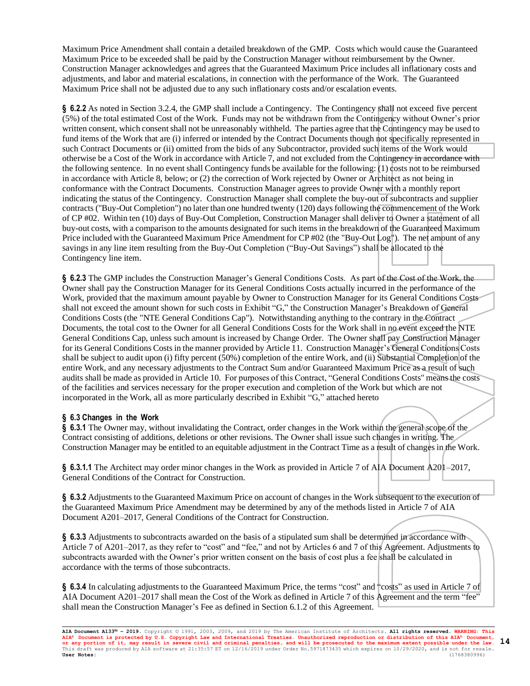Maximum Price Amendment shall contain a detailed breakdown of the GMP. Costs which would cause the Guaranteed Maximum Price to be exceeded shall be paid by the Construction Manager without reimbursement by the Owner. Construction Manager acknowledges and agrees that the Guaranteed Maximum Price includes all inflationary costs and adjustments, and labor and material escalations, in connection with the performance of the Work. The Guaranteed Maximum Price shall not be adjusted due to any such inflationary costs and/or escalation events.

**§ 6.2.2** As noted in Section 3.2.4, the GMP shall include a Contingency. The Contingency shall not exceed five percent (5%) of the total estimated Cost of the Work. Funds may not be withdrawn from the Contingency without Owner's prior written consent, which consent shall not be unreasonably withheld. The parties agree that the Contingency may be used to fund items of the Work that are (i) inferred or intended by the Contract Documents though not specifically represented in such Contract Documents or (ii) omitted from the bids of any Subcontractor, provided such items of the Work would otherwise be a Cost of the Work in accordance with Article 7, and not excluded from the Contingency in accordance with the following sentence. In no event shall Contingency funds be available for the following: (1) costs not to be reimbursed in accordance with Article 8, below; or (2) the correction of Work rejected by Owner or Architect as not being in conformance with the Contract Documents. Construction Manager agrees to provide Owner with a monthly report indicating the status of the Contingency. Construction Manager shall complete the buy-out of subcontracts and supplier contracts ("Buy-Out Completion") no later than one hundred twenty (120) days following the commencement of the Work of CP #02. Within ten (10) days of Buy-Out Completion, Construction Manager shall deliver to Owner a statement of all buy-out costs, with a comparison to the amounts designated for such items in the breakdown of the Guaranteed Maximum Price included with the Guaranteed Maximum Price Amendment for CP #02 (the "Buy-Out Log"). The net amount of any savings in any line item resulting from the Buy-Out Completion ("Buy-Out Savings") shall be allocated to the Contingency line item.

**§ 6.2.3** The GMP includes the Construction Manager's General Conditions Costs. As part of the Cost of the Work, the Owner shall pay the Construction Manager for its General Conditions Costs actually incurred in the performance of the Work, provided that the maximum amount payable by Owner to Construction Manager for its General Conditions Costs shall not exceed the amount shown for such costs in Exhibit "G," the Construction Manager's Breakdown of General Conditions Costs (the "NTE General Conditions Cap"). Notwithstanding anything to the contrary in the Contract Documents, the total cost to the Owner for all General Conditions Costs for the Work shall in no event exceed the NTE General Conditions Cap, unless such amount is increased by Change Order. The Owner shall pay Construction Manager for its General Conditions Costs in the manner provided by Article 11. Construction Manager's General Conditions Costs shall be subject to audit upon (i) fifty percent (50%) completion of the entire Work, and (ii) Substantial Completion of the entire Work, and any necessary adjustments to the Contract Sum and/or Guaranteed Maximum Price as a result of such audits shall be made as provided in Article 10. For purposes of this Contract, "General Conditions Costs" means the costs of the facilities and services necessary for the proper execution and completion of the Work but which are not incorporated in the Work, all as more particularly described in Exhibit "G," attached hereto

### **§ 6.3 Changes in the Work**

**§ 6.3.1** The Owner may, without invalidating the Contract, order changes in the Work within the general scope of the Contract consisting of additions, deletions or other revisions. The Owner shall issue such changes in writing. The Construction Manager may be entitled to an equitable adjustment in the Contract Time as a result of changes in the Work.

**§ 6.3.1.1** The Architect may order minor changes in the Work as provided in Article 7 of AIA Document A201–2017, General Conditions of the Contract for Construction.

**§ 6.3.2** Adjustments to the Guaranteed Maximum Price on account of changes in the Work subsequent to the execution of the Guaranteed Maximum Price Amendment may be determined by any of the methods listed in Article 7 of AIA Document A201–2017, General Conditions of the Contract for Construction.

**§ 6.3.3** Adjustments to subcontracts awarded on the basis of a stipulated sum shall be determined in accordance with Article 7 of A201–2017, as they refer to "cost" and "fee," and not by Articles 6 and 7 of this Agreement. Adjustments to subcontracts awarded with the Owner's prior written consent on the basis of cost plus a fee shall be calculated in accordance with the terms of those subcontracts.

**§ 6.3.4** In calculating adjustments to the Guaranteed Maximum Price, the terms "cost" and "costs" as used in Article 7 of AIA Document A201–2017 shall mean the Cost of the Work as defined in Article 7 of this Agreement and the term "fee" shall mean the Construction Manager's Fee as defined in Section 6.1.2 of this Agreement.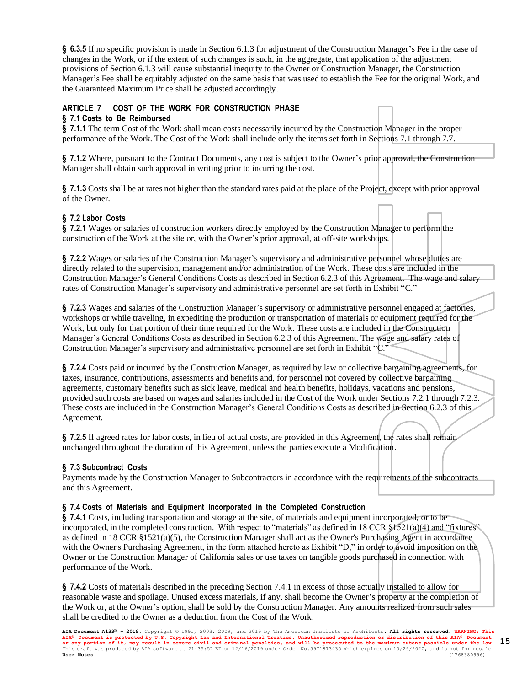**§ 6.3.5** If no specific provision is made in Section 6.1.3 for adjustment of the Construction Manager's Fee in the case of changes in the Work, or if the extent of such changes is such, in the aggregate, that application of the adjustment provisions of Section 6.1.3 will cause substantial inequity to the Owner or Construction Manager, the Construction Manager's Fee shall be equitably adjusted on the same basis that was used to establish the Fee for the original Work, and the Guaranteed Maximum Price shall be adjusted accordingly.

# **ARTICLE 7 COST OF THE WORK FOR CONSTRUCTION PHASE**

# **§ 7.1 Costs to Be Reimbursed**

**§ 7.1.1** The term Cost of the Work shall mean costs necessarily incurred by the Construction Manager in the proper performance of the Work. The Cost of the Work shall include only the items set forth in Sections 7.1 through 7.7.

**§ 7.1.2** Where, pursuant to the Contract Documents, any cost is subject to the Owner's prior approval, the Construction Manager shall obtain such approval in writing prior to incurring the cost.

**§ 7.1.3** Costs shall be at rates not higher than the standard rates paid at the place of the Project, except with prior approval of the Owner.

# **§ 7.2 Labor Costs**

**§ 7.2.1** Wages or salaries of construction workers directly employed by the Construction Manager to perform the construction of the Work at the site or, with the Owner's prior approval, at off-site workshops.

**§ 7.2.2** Wages or salaries of the Construction Manager's supervisory and administrative personnel whose duties are directly related to the supervision, management and/or administration of the Work. These costs are included in the Construction Manager's General Conditions Costs as described in Section 6.2.3 of this Agreement. The wage and salary rates of Construction Manager's supervisory and administrative personnel are set forth in Exhibit "C."

**§ 7.2.3** Wages and salaries of the Construction Manager's supervisory or administrative personnel engaged at factories, workshops or while traveling, in expediting the production or transportation of materials or equipment required for the Work, but only for that portion of their time required for the Work. These costs are included in the Construction Manager's General Conditions Costs as described in Section 6.2.3 of this Agreement. The wage and salary rates of Construction Manager's supervisory and administrative personnel are set forth in Exhibit "C."

**§ 7.2.4** Costs paid or incurred by the Construction Manager, as required by law or collective bargaining agreements, for taxes, insurance, contributions, assessments and benefits and, for personnel not covered by collective bargaining agreements, customary benefits such as sick leave, medical and health benefits, holidays, vacations and pensions, provided such costs are based on wages and salaries included in the Cost of the Work under Sections 7.2.1 through 7.2.3. These costs are included in the Construction Manager's General Conditions Costs as described in Section 6.2.3 of this Agreement.

**§ 7.2.5** If agreed rates for labor costs, in lieu of actual costs, are provided in this Agreement, the rates shall remain unchanged throughout the duration of this Agreement, unless the parties execute a Modification.

# **§ 7.3 Subcontract Costs**

Payments made by the Construction Manager to Subcontractors in accordance with the requirements of the subcontracts and this Agreement.

### **§ 7.4 Costs of Materials and Equipment Incorporated in the Completed Construction**

**§ 7.4.1** Costs, including transportation and storage at the site, of materials and equipment incorporated, or to be incorporated, in the completed construction. With respect to "materials" as defined in 18 CCR  $\S$ 1521(a)(4) and "fixtures" as defined in 18 CCR §1521(a)(5), the Construction Manager shall act as the Owner's Purchasing Agent in accordance with the Owner's Purchasing Agreement, in the form attached hereto as Exhibit "D," in order to avoid imposition on the Owner or the Construction Manager of California sales or use taxes on tangible goods purchased in connection with performance of the Work.

**§ 7.4.2** Costs of materials described in the preceding Section 7.4.1 in excess of those actually installed to allow for reasonable waste and spoilage. Unused excess materials, if any, shall become the Owner's property at the completion of the Work or, at the Owner's option, shall be sold by the Construction Manager. Any amounts realized from such sales shall be credited to the Owner as a deduction from the Cost of the Work.

**AIA Document A133™ – 2019.** Copyright © 1991, 2003, 2009, and 2019 by The American Institute of Architects**. All rights reserved. WARNING: This AIA® Document is protected by U.S. Copyright Law and International Treaties. Unauthorized reproduction or distribution of this AIA® Document, or any portion of it, may result in severe civil and criminal penalties, and will be prosecuted to the maximum extent possible under the law. 15** This draft was produced by AIA software at 21:35:57 ET on 12/16/2019 under Order No.5971873435 which expires on 10/29/2020, and is not for resale.<br>**User Notes:** (1768380996) **User Notes:** (1768380996)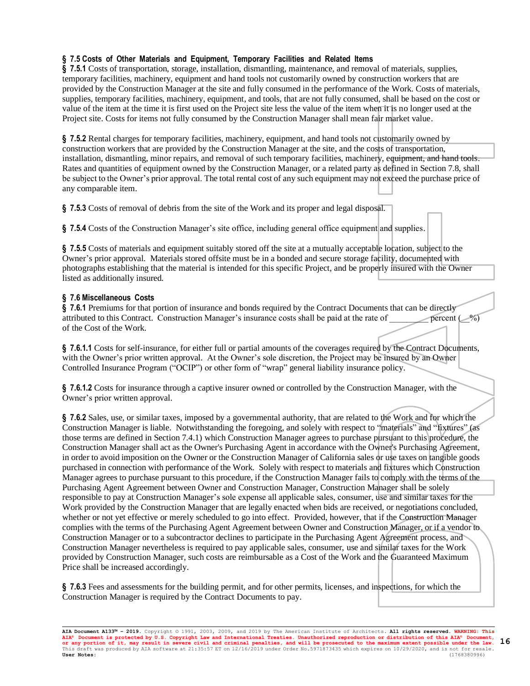# **§ 7.5 Costs of Other Materials and Equipment, Temporary Facilities and Related Items**

**§ 7.5.1** Costs of transportation, storage, installation, dismantling, maintenance, and removal of materials, supplies, temporary facilities, machinery, equipment and hand tools not customarily owned by construction workers that are provided by the Construction Manager at the site and fully consumed in the performance of the Work. Costs of materials, supplies, temporary facilities, machinery, equipment, and tools, that are not fully consumed, shall be based on the cost or value of the item at the time it is first used on the Project site less the value of the item when it is no longer used at the Project site. Costs for items not fully consumed by the Construction Manager shall mean fair market value.

**§ 7.5.2** Rental charges for temporary facilities, machinery, equipment, and hand tools not customarily owned by construction workers that are provided by the Construction Manager at the site, and the costs of transportation, installation, dismantling, minor repairs, and removal of such temporary facilities, machinery, equipment, and hand tools. Rates and quantities of equipment owned by the Construction Manager, or a related party as defined in Section 7.8, shall be subject to the Owner's prior approval. The total rental cost of any such equipment may not exceed the purchase price of any comparable item.

**§ 7.5.3** Costs of removal of debris from the site of the Work and its proper and legal disposal.

**§ 7.5.4** Costs of the Construction Manager's site office, including general office equipment and supplies.

**§ 7.5.5** Costs of materials and equipment suitably stored off the site at a mutually acceptable location, subject to the Owner's prior approval. Materials stored offsite must be in a bonded and secure storage facility, documented with photographs establishing that the material is intended for this specific Project, and be properly insured with the Owner listed as additionally insured.

# **§ 7.6 Miscellaneous Costs**

**§ 7.6.1** Premiums for that portion of insurance and bonds required by the Contract Documents that can be directly attributed to this Contract. Construction Manager's insurance costs shall be paid at the rate of  $\qquad \qquad \qquad$  percent ( $\qquad$ %) of the Cost of the Work.

**§ 7.6.1.1** Costs for self-insurance, for either full or partial amounts of the coverages required by the Contract Documents, with the Owner's prior written approval. At the Owner's sole discretion, the Project may be insured by an Owner Controlled Insurance Program ("OCIP") or other form of "wrap" general liability insurance policy.

**§ 7.6.1.2** Costs for insurance through a captive insurer owned or controlled by the Construction Manager, with the Owner's prior written approval.

**§ 7.6.2** Sales, use, or similar taxes, imposed by a governmental authority, that are related to the Work and for which the Construction Manager is liable. Notwithstanding the foregoing, and solely with respect to "materials" and "fixtures" (as those terms are defined in Section 7.4.1) which Construction Manager agrees to purchase pursuant to this procedure, the Construction Manager shall act as the Owner's Purchasing Agent in accordance with the Owner's Purchasing Agreement, in order to avoid imposition on the Owner or the Construction Manager of California sales or use taxes on tangible goods purchased in connection with performance of the Work. Solely with respect to materials and fixtures which Construction Manager agrees to purchase pursuant to this procedure, if the Construction Manager fails to comply with the terms of the Purchasing Agent Agreement between Owner and Construction Manager, Construction Manager shall be solely responsible to pay at Construction Manager's sole expense all applicable sales, consumer, use and similar taxes for the Work provided by the Construction Manager that are legally enacted when bids are received, or negotiations concluded, whether or not yet effective or merely scheduled to go into effect. Provided, however, that if the Construction Manager complies with the terms of the Purchasing Agent Agreement between Owner and Construction Manager, or if a vendor to Construction Manager or to a subcontractor declines to participate in the Purchasing Agent Agreement process, and Construction Manager nevertheless is required to pay applicable sales, consumer, use and similar taxes for the Work provided by Construction Manager, such costs are reimbursable as a Cost of the Work and the Guaranteed Maximum Price shall be increased accordingly.

**§ 7.6.3** Fees and assessments for the building permit, and for other permits, licenses, and inspections, for which the Construction Manager is required by the Contract Documents to pay.

**AIA Document A133™ – 2019.** Copyright © 1991, 2003, 2009, and 2019 by The American Institute of Architects**. All rights reserved. WARNING: This AIA® Document is protected by U.S. Copyright Law and International Treaties. Unauthorized reproduction or distribution of this AIA® Document, or any portion of it, may result in severe civil and criminal penalties, and will be prosecuted to the maximum extent possible under the law.** This draft was produced by AIA software at 21:35:57 ET on 12/16/2019 under Order No.5971873435 which expires on 10/29/2020, and is not for resale.<br> **User Notes:** (1768380996) **User Notes:** (1768380996) **16**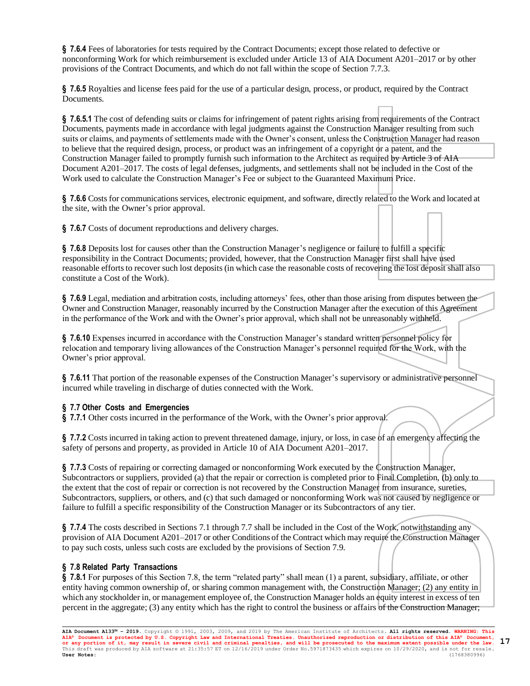**§ 7.6.4** Fees of laboratories for tests required by the Contract Documents; except those related to defective or nonconforming Work for which reimbursement is excluded under Article 13 of AIA Document A201–2017 or by other provisions of the Contract Documents, and which do not fall within the scope of Section 7.7.3.

**§ 7.6.5** Royalties and license fees paid for the use of a particular design, process, or product, required by the Contract Documents.

**§ 7.6.5.1** The cost of defending suits or claims for infringement of patent rights arising from requirements of the Contract Documents, payments made in accordance with legal judgments against the Construction Manager resulting from such suits or claims, and payments of settlements made with the Owner's consent, unless the Construction Manager had reason to believe that the required design, process, or product was an infringement of a copyright or a patent, and the Construction Manager failed to promptly furnish such information to the Architect as required by Article 3 of AIA Document A201–2017. The costs of legal defenses, judgments, and settlements shall not be included in the Cost of the Work used to calculate the Construction Manager's Fee or subject to the Guaranteed Maximum Price.

**§ 7.6.6** Costs for communications services, electronic equipment, and software, directly related to the Work and located at the site, with the Owner's prior approval.

**§ 7.6.7** Costs of document reproductions and delivery charges.

**§ 7.6.8** Deposits lost for causes other than the Construction Manager's negligence or failure to fulfill a specific responsibility in the Contract Documents; provided, however, that the Construction Manager first shall have used reasonable efforts to recover such lost deposits (in which case the reasonable costs of recovering the lost deposit shall also constitute a Cost of the Work).

**§ 7.6.9** Legal, mediation and arbitration costs, including attorneys' fees, other than those arising from disputes between the Owner and Construction Manager, reasonably incurred by the Construction Manager after the execution of this Agreement in the performance of the Work and with the Owner's prior approval, which shall not be unreasonably withheld.

**§ 7.6.10** Expenses incurred in accordance with the Construction Manager's standard written personnel policy for relocation and temporary living allowances of the Construction Manager's personnel required for the Work, with the Owner's prior approval.

**§ 7.6.11** That portion of the reasonable expenses of the Construction Manager's supervisory or administrative personnel incurred while traveling in discharge of duties connected with the Work.

# **§ 7.7 Other Costs and Emergencies**

**§ 7.7.1** Other costs incurred in the performance of the Work, with the Owner's prior approval.

**§ 7.7.2** Costs incurred in taking action to prevent threatened damage, injury, or loss, in case of an emergency affecting the safety of persons and property, as provided in Article 10 of AIA Document A201–2017.

**§ 7.7.3** Costs of repairing or correcting damaged or nonconforming Work executed by the Construction Manager, Subcontractors or suppliers, provided (a) that the repair or correction is completed prior to Final Completion, (b) only to the extent that the cost of repair or correction is not recovered by the Construction Manager from insurance, sureties, Subcontractors, suppliers, or others, and (c) that such damaged or nonconforming Work was not caused by negligence or failure to fulfill a specific responsibility of the Construction Manager or its Subcontractors of any tier.

**§ 7.7.4** The costs described in Sections 7.1 through 7.7 shall be included in the Cost of the Work, notwithstanding any provision of AIA Document A201–2017 or other Conditions of the Contract which may require the Construction Manager to pay such costs, unless such costs are excluded by the provisions of Section 7.9.

### **§ 7.8 Related Party Transactions**

**§ 7.8.1** For purposes of this Section 7.8, the term "related party" shall mean (1) a parent, subsidiary, affiliate, or other entity having common ownership of, or sharing common management with, the Construction Manager; (2) any entity in which any stockholder in, or management employee of, the Construction Manager holds an equity interest in excess of ten percent in the aggregate; (3) any entity which has the right to control the business or affairs of the Construction Manager;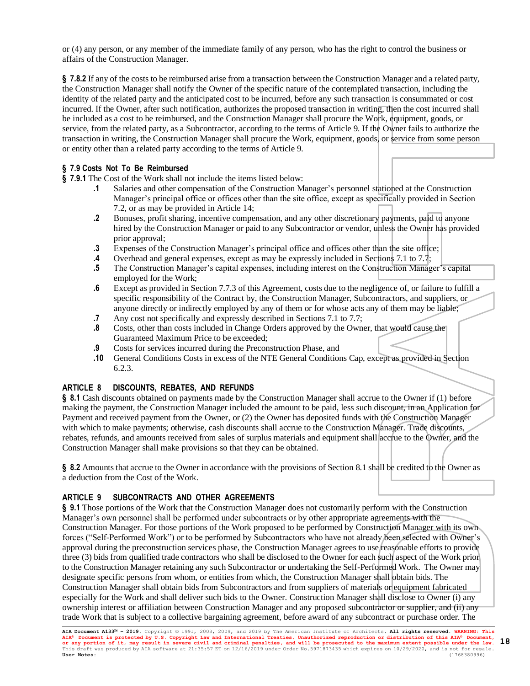or (4) any person, or any member of the immediate family of any person, who has the right to control the business or affairs of the Construction Manager.

**§ 7.8.2** If any of the costs to be reimbursed arise from a transaction between the Construction Manager and a related party, the Construction Manager shall notify the Owner of the specific nature of the contemplated transaction, including the identity of the related party and the anticipated cost to be incurred, before any such transaction is consummated or cost incurred. If the Owner, after such notification, authorizes the proposed transaction in writing, then the cost incurred shall be included as a cost to be reimbursed, and the Construction Manager shall procure the Work, equipment, goods, or service, from the related party, as a Subcontractor, according to the terms of Article 9. If the Owner fails to authorize the transaction in writing, the Construction Manager shall procure the Work, equipment, goods, or service from some person or entity other than a related party according to the terms of Article 9.

### **§ 7.9 Costs Not To Be Reimbursed**

**§ 7.9.1** The Cost of the Work shall not include the items listed below:

- **.1** Salaries and other compensation of the Construction Manager's personnel stationed at the Construction Manager's principal office or offices other than the site office, except as specifically provided in Section 7.2, or as may be provided in Article 14;
- **.2** Bonuses, profit sharing, incentive compensation, and any other discretionary payments, paid to anyone hired by the Construction Manager or paid to any Subcontractor or vendor, unless the Owner has provided prior approval;
- **.3** Expenses of the Construction Manager's principal office and offices other than the site office;
- **.4** Overhead and general expenses, except as may be expressly included in Sections 7.1 to 7.7;
- **.5** The Construction Manager's capital expenses, including interest on the Construction Manager's capital employed for the Work;
- **.6** Except as provided in Section 7.7.3 of this Agreement, costs due to the negligence of, or failure to fulfill a specific responsibility of the Contract by, the Construction Manager, Subcontractors, and suppliers, or anyone directly or indirectly employed by any of them or for whose acts any of them may be liable;
- **.7** Any cost not specifically and expressly described in Sections 7.1 to 7.7;
- **.8** Costs, other than costs included in Change Orders approved by the Owner, that would cause the Guaranteed Maximum Price to be exceeded;
- **.9** Costs for services incurred during the Preconstruction Phase, and
- **.10** General Conditions Costs in excess of the NTE General Conditions Cap, except as provided in Section 6.2.3.

# **ARTICLE 8 DISCOUNTS, REBATES, AND REFUNDS**

**§ 8.1** Cash discounts obtained on payments made by the Construction Manager shall accrue to the Owner if (1) before making the payment, the Construction Manager included the amount to be paid, less such discount, in an Application for Payment and received payment from the Owner, or (2) the Owner has deposited funds with the Construction Manager with which to make payments; otherwise, cash discounts shall accrue to the Construction Manager. Trade discounts, rebates, refunds, and amounts received from sales of surplus materials and equipment shall accrue to the Owner, and the Construction Manager shall make provisions so that they can be obtained.

**§ 8.2** Amounts that accrue to the Owner in accordance with the provisions of Section 8.1 shall be credited to the Owner as a deduction from the Cost of the Work.

# **ARTICLE 9 SUBCONTRACTS AND OTHER AGREEMENTS**

**§ 9.1** Those portions of the Work that the Construction Manager does not customarily perform with the Construction Manager's own personnel shall be performed under subcontracts or by other appropriate agreements with the Construction Manager. For those portions of the Work proposed to be performed by Construction Manager with its own forces ("Self-Performed Work") or to be performed by Subcontractors who have not already been selected with Owner's approval during the preconstruction services phase, the Construction Manager agrees to use reasonable efforts to provide three (3) bids from qualified trade contractors who shall be disclosed to the Owner for each such aspect of the Work prior to the Construction Manager retaining any such Subcontractor or undertaking the Self-Performed Work. The Owner may designate specific persons from whom, or entities from which, the Construction Manager shall obtain bids. The Construction Manager shall obtain bids from Subcontractors and from suppliers of materials or equipment fabricated especially for the Work and shall deliver such bids to the Owner. Construction Manager shall disclose to Owner (i) any ownership interest or affiliation between Construction Manager and any proposed subcontractor or supplier, and (ii) any trade Work that is subject to a collective bargaining agreement, before award of any subcontract or purchase order. The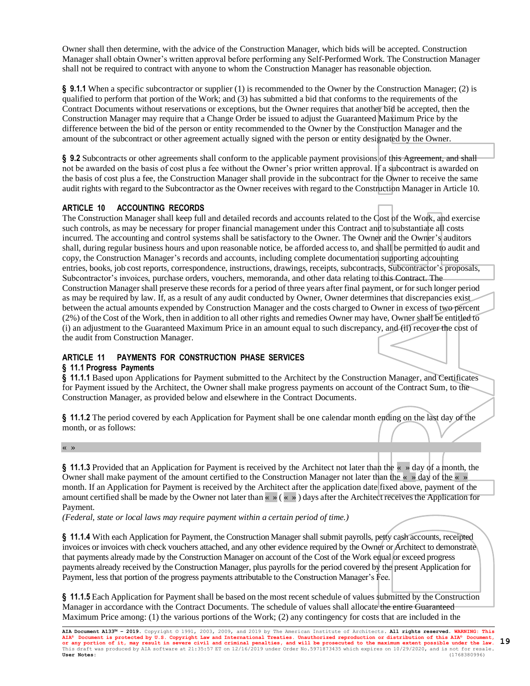Owner shall then determine, with the advice of the Construction Manager, which bids will be accepted. Construction Manager shall obtain Owner's written approval before performing any Self-Performed Work. The Construction Manager shall not be required to contract with anyone to whom the Construction Manager has reasonable objection.

**§ 9.1.1** When a specific subcontractor or supplier (1) is recommended to the Owner by the Construction Manager; (2) is qualified to perform that portion of the Work; and (3) has submitted a bid that conforms to the requirements of the Contract Documents without reservations or exceptions, but the Owner requires that another bid be accepted, then the Construction Manager may require that a Change Order be issued to adjust the Guaranteed Maximum Price by the difference between the bid of the person or entity recommended to the Owner by the Construction Manager and the amount of the subcontract or other agreement actually signed with the person or entity designated by the Owner.

**§ 9.2** Subcontracts or other agreements shall conform to the applicable payment provisions of this Agreement, and shall not be awarded on the basis of cost plus a fee without the Owner's prior written approval. If a subcontract is awarded on the basis of cost plus a fee, the Construction Manager shall provide in the subcontract for the Owner to receive the same audit rights with regard to the Subcontractor as the Owner receives with regard to the Construction Manager in Article 10.

# **ARTICLE 10 ACCOUNTING RECORDS**

The Construction Manager shall keep full and detailed records and accounts related to the Cost of the Work, and exercise such controls, as may be necessary for proper financial management under this Contract and to substantiate all costs incurred. The accounting and control systems shall be satisfactory to the Owner. The Owner and the Owner's auditors shall, during regular business hours and upon reasonable notice, be afforded access to, and shall be permitted to audit and copy, the Construction Manager's records and accounts, including complete documentation supporting accounting entries, books, job cost reports, correspondence, instructions, drawings, receipts, subcontracts, Subcontractor's proposals, Subcontractor's invoices, purchase orders, vouchers, memoranda, and other data relating to this Contract. The Construction Manager shall preserve these records for a period of three years after final payment, or for such longer period as may be required by law. If, as a result of any audit conducted by Owner, Owner determines that discrepancies exist between the actual amounts expended by Construction Manager and the costs charged to Owner in excess of two percent (2%) of the Cost of the Work, then in addition to all other rights and remedies Owner may have, Owner shall be entitled to (i) an adjustment to the Guaranteed Maximum Price in an amount equal to such discrepancy, and (ii) recover the cost of the audit from Construction Manager.

# **ARTICLE 11 PAYMENTS FOR CONSTRUCTION PHASE SERVICES**

# **§ 11.1 Progress Payments**

**§ 11.1.1** Based upon Applications for Payment submitted to the Architect by the Construction Manager, and Certificates for Payment issued by the Architect, the Owner shall make progress payments on account of the Contract Sum, to the Construction Manager, as provided below and elsewhere in the Contract Documents.

**§ 11.1.2** The period covered by each Application for Payment shall be one calendar month ending on the last day of the month, or as follows:

« »

**§ 11.1.3** Provided that an Application for Payment is received by the Architect not later than the « » day of a month, the Owner shall make payment of the amount certified to the Construction Manager not later than the « » day of the « » month. If an Application for Payment is received by the Architect after the application date fixed above, payment of the amount certified shall be made by the Owner not later than  $\langle \cdot \rangle$   $\langle \cdot \rangle$  and  $\langle \cdot \rangle$  and a state the Architect receives the Application for Payment.

*(Federal, state or local laws may require payment within a certain period of time.)*

**§ 11.1.4** With each Application for Payment, the Construction Manager shall submit payrolls, petty cash accounts, receipted invoices or invoices with check vouchers attached, and any other evidence required by the Owner or Architect to demonstrate that payments already made by the Construction Manager on account of the Cost of the Work equal or exceed progress payments already received by the Construction Manager, plus payrolls for the period covered by the present Application for Payment, less that portion of the progress payments attributable to the Construction Manager's Fee.

**§ 11.1.5** Each Application for Payment shall be based on the most recent schedule of values submitted by the Construction Manager in accordance with the Contract Documents. The schedule of values shall allocate the entire Guaranteed Maximum Price among: (1) the various portions of the Work; (2) any contingency for costs that are included in the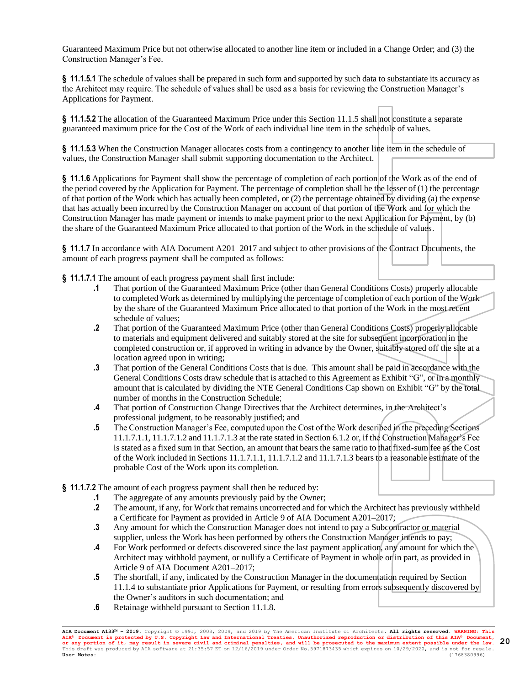Guaranteed Maximum Price but not otherwise allocated to another line item or included in a Change Order; and (3) the Construction Manager's Fee.

**§ 11.1.5.1** The schedule of values shall be prepared in such form and supported by such data to substantiate its accuracy as the Architect may require. The schedule of values shall be used as a basis for reviewing the Construction Manager's Applications for Payment.

**§ 11.1.5.2** The allocation of the Guaranteed Maximum Price under this Section 11.1.5 shall not constitute a separate guaranteed maximum price for the Cost of the Work of each individual line item in the schedule of values.

**§ 11.1.5.3** When the Construction Manager allocates costs from a contingency to another line item in the schedule of values, the Construction Manager shall submit supporting documentation to the Architect.

**§ 11.1.6** Applications for Payment shall show the percentage of completion of each portion of the Work as of the end of the period covered by the Application for Payment. The percentage of completion shall be the lesser of (1) the percentage of that portion of the Work which has actually been completed, or (2) the percentage obtained by dividing (a) the expense that has actually been incurred by the Construction Manager on account of that portion of the Work and for which the Construction Manager has made payment or intends to make payment prior to the next Application for Payment, by (b) the share of the Guaranteed Maximum Price allocated to that portion of the Work in the schedule of values.

**§ 11.1.7** In accordance with AIA Document A201–2017 and subject to other provisions of the Contract Documents, the amount of each progress payment shall be computed as follows:

**§ 11.1.7.1** The amount of each progress payment shall first include:

- **.1** That portion of the Guaranteed Maximum Price (other than General Conditions Costs) properly allocable to completed Work as determined by multiplying the percentage of completion of each portion of the Work by the share of the Guaranteed Maximum Price allocated to that portion of the Work in the most recent schedule of values;
- **.2** That portion of the Guaranteed Maximum Price (other than General Conditions Costs) properly allocable to materials and equipment delivered and suitably stored at the site for subsequent incorporation in the completed construction or, if approved in writing in advance by the Owner, suitably stored off the site at a location agreed upon in writing;
- **.3** That portion of the General Conditions Costs that is due. This amount shall be paid in accordance with the General Conditions Costs draw schedule that is attached to this Agreement as Exhibit "G", or in a monthly amount that is calculated by dividing the NTE General Conditions Cap shown on Exhibit "G" by the total number of months in the Construction Schedule;
- **.4** That portion of Construction Change Directives that the Architect determines, in the Architect's professional judgment, to be reasonably justified; and
- **.5** The Construction Manager's Fee, computed upon the Cost of the Work described in the preceding Sections 11.1.7.1.1, 11.1.7.1.2 and 11.1.7.1.3 at the rate stated in Section 6.1.2 or, if the Construction Manager's Fee is stated as a fixed sum in that Section, an amount that bears the same ratio to that fixed-sum fee as the Cost of the Work included in Sections 11.1.7.1.1, 11.1.7.1.2 and 11.1.7.1.3 bears to a reasonable estimate of the probable Cost of the Work upon its completion.
- **§ 11.1.7.2** The amount of each progress payment shall then be reduced by:
	- **.1** The aggregate of any amounts previously paid by the Owner;
	- **.2** The amount, if any, for Work that remains uncorrected and for which the Architect has previously withheld a Certificate for Payment as provided in Article 9 of AIA Document A201–2017;
	- **.3** Any amount for which the Construction Manager does not intend to pay a Subcontractor or material supplier, unless the Work has been performed by others the Construction Manager intends to pay;
	- **.4** For Work performed or defects discovered since the last payment application, any amount for which the Architect may withhold payment, or nullify a Certificate of Payment in whole or in part, as provided in Article 9 of AIA Document A201–2017;
	- **.5** The shortfall, if any, indicated by the Construction Manager in the documentation required by Section 11.1.4 to substantiate prior Applications for Payment, or resulting from errors subsequently discovered by the Owner's auditors in such documentation; and
	- **.6** Retainage withheld pursuant to Section 11.1.8.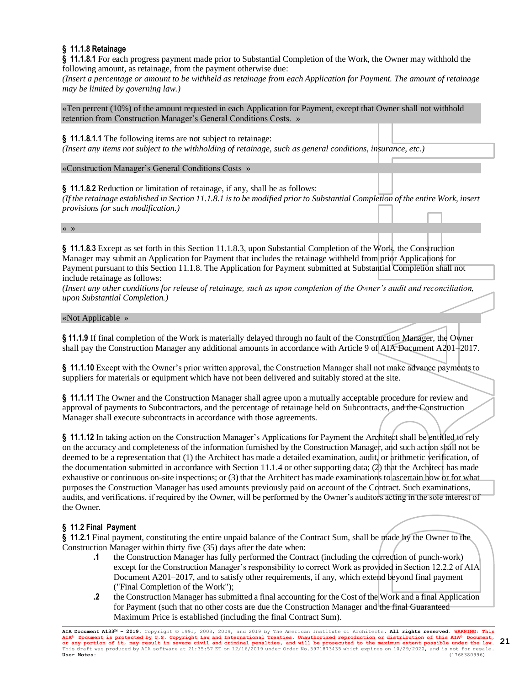# **§ 11.1.8 Retainage**

**§ 11.1.8.1** For each progress payment made prior to Substantial Completion of the Work, the Owner may withhold the following amount, as retainage, from the payment otherwise due:

*(Insert a percentage or amount to be withheld as retainage from each Application for Payment. The amount of retainage may be limited by governing law.)*

«Ten percent (10%) of the amount requested in each Application for Payment, except that Owner shall not withhold retention from Construction Manager's General Conditions Costs. »

**§ 11.1.8.1.1** The following items are not subject to retainage:

*(Insert any items not subject to the withholding of retainage, such as general conditions, insurance, etc.)*

«Construction Manager's General Conditions Costs »

**§ 11.1.8.2** Reduction or limitation of retainage, if any, shall be as follows:

*(If the retainage established in Section 11.1.8.1 is to be modified prior to Substantial Completion of the entire Work, insert provisions for such modification.)*

« »

**§ 11.1.8.3** Except as set forth in this Section 11.1.8.3, upon Substantial Completion of the Work, the Construction Manager may submit an Application for Payment that includes the retainage withheld from prior Applications for Payment pursuant to this Section 11.1.8. The Application for Payment submitted at Substantial Completion shall not include retainage as follows:

*(Insert any other conditions for release of retainage, such as upon completion of the Owner's audit and reconciliation, upon Substantial Completion.)*

### «Not Applicable »

**§ 11.1.9** If final completion of the Work is materially delayed through no fault of the Construction Manager, the Owner shall pay the Construction Manager any additional amounts in accordance with Article 9 of AIA Document A201–2017.

**§ 11.1.10** Except with the Owner's prior written approval, the Construction Manager shall not make advance payments to suppliers for materials or equipment which have not been delivered and suitably stored at the site.

**§ 11.1.11** The Owner and the Construction Manager shall agree upon a mutually acceptable procedure for review and approval of payments to Subcontractors, and the percentage of retainage held on Subcontracts, and the Construction Manager shall execute subcontracts in accordance with those agreements.

**§ 11.1.12** In taking action on the Construction Manager's Applications for Payment the Architect shall be entitled to rely on the accuracy and completeness of the information furnished by the Construction Manager, and such action shall not be deemed to be a representation that (1) the Architect has made a detailed examination, audit, or arithmetic verification, of the documentation submitted in accordance with Section 11.1.4 or other supporting data; (2) that the Architect has made exhaustive or continuous on-site inspections; or (3) that the Architect has made examinations to ascertain how or for what purposes the Construction Manager has used amounts previously paid on account of the Contract. Such examinations, audits, and verifications, if required by the Owner, will be performed by the Owner's auditors acting in the sole interest of the Owner.

### **§ 11.2 Final Payment**

**§ 11.2.1** Final payment, constituting the entire unpaid balance of the Contract Sum, shall be made by the Owner to the Construction Manager within thirty five (35) days after the date when:

- **.1** the Construction Manager has fully performed the Contract (including the correction of punch-work) except for the Construction Manager's responsibility to correct Work as provided in Section 12.2.2 of AIA Document A201–2017, and to satisfy other requirements, if any, which extend beyond final payment ("Final Completion of the Work");
- **.2** the Construction Manager has submitted a final accounting for the Cost of the Work and a final Application for Payment (such that no other costs are due the Construction Manager and the final Guaranteed Maximum Price is established (including the final Contract Sum).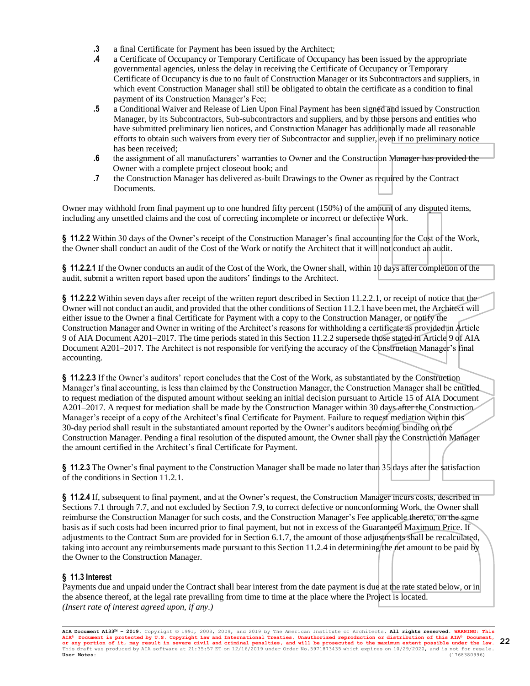- **.3** a final Certificate for Payment has been issued by the Architect;
- **.4** a Certificate of Occupancy or Temporary Certificate of Occupancy has been issued by the appropriate governmental agencies, unless the delay in receiving the Certificate of Occupancy or Temporary Certificate of Occupancy is due to no fault of Construction Manager or its Subcontractors and suppliers, in which event Construction Manager shall still be obligated to obtain the certificate as a condition to final payment of its Construction Manager's Fee;
- **.5** a Conditional Waiver and Release of Lien Upon Final Payment has been signed and issued by Construction Manager, by its Subcontractors, Sub-subcontractors and suppliers, and by those persons and entities who have submitted preliminary lien notices, and Construction Manager has additionally made all reasonable efforts to obtain such waivers from every tier of Subcontractor and supplier, even if no preliminary notice has been received;
- **.6** the assignment of all manufacturers' warranties to Owner and the Construction Manager has provided the Owner with a complete project closeout book; and
- **.7** the Construction Manager has delivered as-built Drawings to the Owner as required by the Contract Documents.

Owner may withhold from final payment up to one hundred fifty percent (150%) of the amount of any disputed items, including any unsettled claims and the cost of correcting incomplete or incorrect or defective Work.

**§ 11.2.2** Within 30 days of the Owner's receipt of the Construction Manager's final accounting for the Cost of the Work, the Owner shall conduct an audit of the Cost of the Work or notify the Architect that it will not conduct an audit.

**§ 11.2.2.1** If the Owner conducts an audit of the Cost of the Work, the Owner shall, within 10 days after completion of the audit, submit a written report based upon the auditors' findings to the Architect.

**§ 11.2.2.2** Within seven days after receipt of the written report described in Section 11.2.2.1, or receipt of notice that the Owner will not conduct an audit, and provided that the other conditions of Section 11.2.1 have been met, the Architect will either issue to the Owner a final Certificate for Payment with a copy to the Construction Manager, or notify the Construction Manager and Owner in writing of the Architect's reasons for withholding a certificate as provided in Article 9 of AIA Document A201–2017. The time periods stated in this Section 11.2.2 supersede those stated in Article 9 of AIA Document A201–2017. The Architect is not responsible for verifying the accuracy of the Construction Manager's final accounting.

**§ 11.2.2.3** If the Owner's auditors' report concludes that the Cost of the Work, as substantiated by the Construction Manager's final accounting, is less than claimed by the Construction Manager, the Construction Manager shall be entitled to request mediation of the disputed amount without seeking an initial decision pursuant to Article 15 of AIA Document A201–2017. A request for mediation shall be made by the Construction Manager within 30 days after the Construction Manager's receipt of a copy of the Architect's final Certificate for Payment. Failure to request mediation within this 30-day period shall result in the substantiated amount reported by the Owner's auditors becoming binding on the Construction Manager. Pending a final resolution of the disputed amount, the Owner shall pay the Construction Manager the amount certified in the Architect's final Certificate for Payment.

**§ 11.2.3** The Owner's final payment to the Construction Manager shall be made no later than 35 days after the satisfaction of the conditions in Section 11.2.1.

**§ 11.2.4** If, subsequent to final payment, and at the Owner's request, the Construction Manager incurs costs, described in Sections 7.1 through 7.7, and not excluded by Section 7.9, to correct defective or nonconforming Work, the Owner shall reimburse the Construction Manager for such costs, and the Construction Manager's Fee applicable thereto, on the same basis as if such costs had been incurred prior to final payment, but not in excess of the Guaranteed Maximum Price. If adjustments to the Contract Sum are provided for in Section 6.1.7, the amount of those adjustments shall be recalculated, taking into account any reimbursements made pursuant to this Section 11.2.4 in determining the net amount to be paid by the Owner to the Construction Manager.

# **§ 11.3 Interest**

Payments due and unpaid under the Contract shall bear interest from the date payment is due at the rate stated below, or in the absence thereof, at the legal rate prevailing from time to time at the place where the Project is located. *(Insert rate of interest agreed upon, if any.)*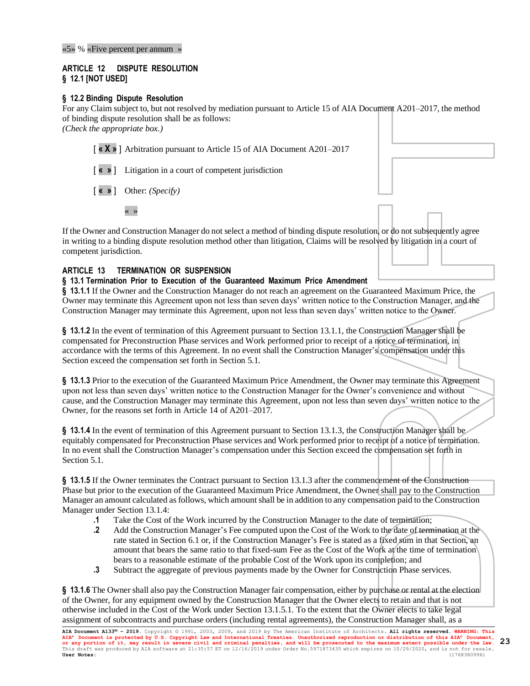«5» % «Five percent per annum »

# **ARTICLE 12 DISPUTE RESOLUTION § 12.1 [NOT USED]**

# **§ 12.2 Binding Dispute Resolution**

For any Claim subject to, but not resolved by mediation pursuant to Article 15 of AIA Document A201–2017, the method of binding dispute resolution shall be as follows: *(Check the appropriate box.)*

[ **« X »** ] Arbitration pursuant to Article 15 of AIA Document A201–2017

[ **« »** ] Litigation in a court of competent jurisdiction

[ **« »** ] Other: *(Specify)*

« »

If the Owner and Construction Manager do not select a method of binding dispute resolution, or do not subsequently agree in writing to a binding dispute resolution method other than litigation, Claims will be resolved by litigation in a court of competent jurisdiction.

# **ARTICLE 13 TERMINATION OR SUSPENSION**

# **§ 13.1 Termination Prior to Execution of the Guaranteed Maximum Price Amendment**

**§ 13.1.1** If the Owner and the Construction Manager do not reach an agreement on the Guaranteed Maximum Price, the Owner may terminate this Agreement upon not less than seven days' written notice to the Construction Manager, and the Construction Manager may terminate this Agreement, upon not less than seven days' written notice to the Owner.

**§ 13.1.2** In the event of termination of this Agreement pursuant to Section 13.1.1, the Construction Manager shall be compensated for Preconstruction Phase services and Work performed prior to receipt of a notice of termination, in accordance with the terms of this Agreement. In no event shall the Construction Manager's compensation under this Section exceed the compensation set forth in Section 5.1.

**§ 13.1.3** Prior to the execution of the Guaranteed Maximum Price Amendment, the Owner may terminate this Agreement upon not less than seven days' written notice to the Construction Manager for the Owner's convenience and without cause, and the Construction Manager may terminate this Agreement, upon not less than seven days' written notice to the Owner, for the reasons set forth in Article 14 of A201–2017.

**§ 13.1.4** In the event of termination of this Agreement pursuant to Section 13.1.3, the Construction Manager shall be equitably compensated for Preconstruction Phase services and Work performed prior to receipt of a notice of termination. In no event shall the Construction Manager's compensation under this Section exceed the compensation set forth in Section 5.1.

**§ 13.1.5** If the Owner terminates the Contract pursuant to Section 13.1.3 after the commencement of the Construction Phase but prior to the execution of the Guaranteed Maximum Price Amendment, the Owner shall pay to the Construction Manager an amount calculated as follows, which amount shall be in addition to any compensation paid to the Construction Manager under Section 13.1.4:

- **.1** Take the Cost of the Work incurred by the Construction Manager to the date of termination;
- **.2** Add the Construction Manager's Fee computed upon the Cost of the Work to the date of termination at the rate stated in Section 6.1 or, if the Construction Manager's Fee is stated as a fixed sum in that Section, an amount that bears the same ratio to that fixed-sum Fee as the Cost of the Work at the time of termination bears to a reasonable estimate of the probable Cost of the Work upon its completion; and
- **.3** Subtract the aggregate of previous payments made by the Owner for Construction Phase services.

**§ 13.1.6** The Owner shall also pay the Construction Manager fair compensation, either by purchase or rental at the election of the Owner, for any equipment owned by the Construction Manager that the Owner elects to retain and that is not otherwise included in the Cost of the Work under Section 13.1.5.1. To the extent that the Owner elects to take legal assignment of subcontracts and purchase orders (including rental agreements), the Construction Manager shall, as a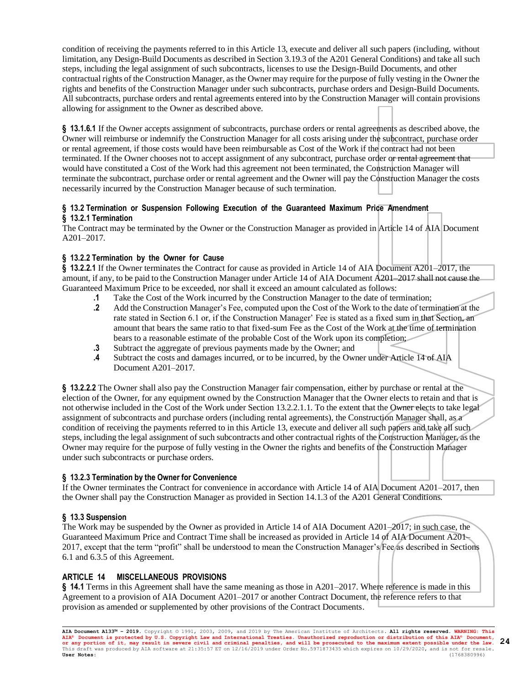condition of receiving the payments referred to in this Article 13, execute and deliver all such papers (including, without limitation, any Design-Build Documents as described in Section 3.19.3 of the A201 General Conditions) and take all such steps, including the legal assignment of such subcontracts, licenses to use the Design-Build Documents, and other contractual rights of the Construction Manager, as the Owner may require for the purpose of fully vesting in the Owner the rights and benefits of the Construction Manager under such subcontracts, purchase orders and Design-Build Documents. All subcontracts, purchase orders and rental agreements entered into by the Construction Manager will contain provisions allowing for assignment to the Owner as described above.

**§ 13.1.6.1** If the Owner accepts assignment of subcontracts, purchase orders or rental agreements as described above, the Owner will reimburse or indemnify the Construction Manager for all costs arising under the subcontract, purchase order or rental agreement, if those costs would have been reimbursable as Cost of the Work if the contract had not been terminated. If the Owner chooses not to accept assignment of any subcontract, purchase order or rental agreement that would have constituted a Cost of the Work had this agreement not been terminated, the Construction Manager will terminate the subcontract, purchase order or rental agreement and the Owner will pay the Construction Manager the costs necessarily incurred by the Construction Manager because of such termination.

# **§ 13.2 Termination or Suspension Following Execution of the Guaranteed Maximum Price Amendment § 13.2.1 Termination**

The Contract may be terminated by the Owner or the Construction Manager as provided in Article 14 of AIA Document A201–2017.

# **§ 13.2.2 Termination by the Owner for Cause**

**§ 13.2.2.1** If the Owner terminates the Contract for cause as provided in Article 14 of AIA Document A201–2017, the amount, if any, to be paid to the Construction Manager under Article 14 of AIA Document A201–2017 shall not cause the Guaranteed Maximum Price to be exceeded, nor shall it exceed an amount calculated as follows:

- **.1** Take the Cost of the Work incurred by the Construction Manager to the date of termination;
- **.2** Add the Construction Manager's Fee, computed upon the Cost of the Work to the date of termination at the rate stated in Section 6.1 or, if the Construction Manager' Fee is stated as a fixed sum in that Section, an amount that bears the same ratio to that fixed-sum Fee as the Cost of the Work at the time of termination bears to a reasonable estimate of the probable Cost of the Work upon its completion;
- **.3** Subtract the aggregate of previous payments made by the Owner; and
- **.4** Subtract the costs and damages incurred, or to be incurred, by the Owner under Article 14 of AIA Document A201–2017.

**§ 13.2.2.2** The Owner shall also pay the Construction Manager fair compensation, either by purchase or rental at the election of the Owner, for any equipment owned by the Construction Manager that the Owner elects to retain and that is not otherwise included in the Cost of the Work under Section 13.2.2.1.1. To the extent that the Owner elects to take legal assignment of subcontracts and purchase orders (including rental agreements), the Construction Manager shall, as a condition of receiving the payments referred to in this Article 13, execute and deliver all such papers and take all such steps, including the legal assignment of such subcontracts and other contractual rights of the Construction Manager, as the Owner may require for the purpose of fully vesting in the Owner the rights and benefits of the Construction Manager under such subcontracts or purchase orders.

# **§ 13.2.3 Termination by the Owner for Convenience**

If the Owner terminates the Contract for convenience in accordance with Article 14 of AIA Document A201–2017, then the Owner shall pay the Construction Manager as provided in Section 14.1.3 of the A201 General Conditions.

# **§ 13.3 Suspension**

The Work may be suspended by the Owner as provided in Article 14 of AIA Document A201–2017; in such case, the Guaranteed Maximum Price and Contract Time shall be increased as provided in Article 14 of AIA Document A201– 2017, except that the term "profit" shall be understood to mean the Construction Manager's Fee as described in Sections 6.1 and 6.3.5 of this Agreement.

# **ARTICLE 14 MISCELLANEOUS PROVISIONS**

**§ 14.1** Terms in this Agreement shall have the same meaning as those in A201–2017. Where reference is made in this Agreement to a provision of AIA Document A201–2017 or another Contract Document, the reference refers to that provision as amended or supplemented by other provisions of the Contract Documents.

**AIA Document A133™ – 2019.** Copyright © 1991, 2003, 2009, and 2019 by The American Institute of Architects**. All rights reserved. WARNING: This AIA® Document is protected by U.S. Copyright Law and International Treaties. Unauthorized reproduction or distribution of this AIA® Document, or any portion of it, may result in severe civil and criminal penalties, and will be prosecuted to the maximum extent possible under the law.** This draft was produced by AIA software at 21:35:57 ET on 12/16/2019 under Order No.5971873435 which expires on 10/29/2020, and is not for resale.<br>**User Notes:** (1768380996) **User Notes:** (1768380996) **24**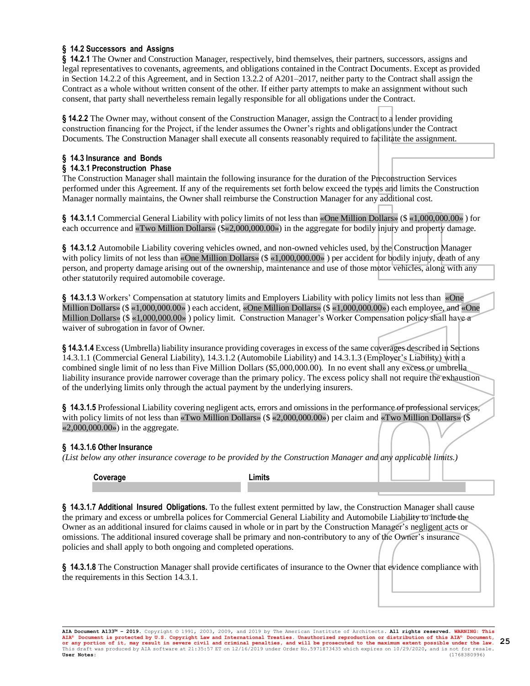# **§ 14.2 Successors and Assigns**

**§ 14.2.1** The Owner and Construction Manager, respectively, bind themselves, their partners, successors, assigns and legal representatives to covenants, agreements, and obligations contained in the Contract Documents. Except as provided in Section 14.2.2 of this Agreement, and in Section 13.2.2 of A201–2017, neither party to the Contract shall assign the Contract as a whole without written consent of the other. If either party attempts to make an assignment without such consent, that party shall nevertheless remain legally responsible for all obligations under the Contract.

**§ 14.2.2** The Owner may, without consent of the Construction Manager, assign the Contract to a lender providing construction financing for the Project, if the lender assumes the Owner's rights and obligations under the Contract Documents. The Construction Manager shall execute all consents reasonably required to facilitate the assignment.

# **§ 14.3 Insurance and Bonds**

### **§ 14.3.1 Preconstruction Phase**

The Construction Manager shall maintain the following insurance for the duration of the Preconstruction Services performed under this Agreement. If any of the requirements set forth below exceed the types and limits the Construction Manager normally maintains, the Owner shall reimburse the Construction Manager for any additional cost.

**§ 14.3.1.1** Commercial General Liability with policy limits of not less than «One Million Dollars» (\$ «1,000,000.00» ) for each occurrence and «Two Million Dollars» (\$«2,000,000.00») in the aggregate for bodily injury and property damage.

**§ 14.3.1.2** Automobile Liability covering vehicles owned, and non-owned vehicles used, by the Construction Manager with policy limits of not less than «One Million Dollars» (\$ «1,000,000.00») per accident for bodily injury, death of any person, and property damage arising out of the ownership, maintenance and use of those motor vehicles, along with any other statutorily required automobile coverage.

§ 14.3.1.3 Workers' Compensation at statutory limits and Employers Liability with policy limits not less than «One Million Dollars» (\$ «1,000,000.00» ) each accident, «One Million Dollars» (\$ «1,000,000.00») each employee, and «One Million Dollars» (\$ «1,000,000.00» ) policy limit. Construction Manager's Worker Compensation policy shall have a waiver of subrogation in favor of Owner.

**§ 14.3.1.4** Excess (Umbrella) liability insurance providing coverages in excess of the same coverages described in Sections 14.3.1.1 (Commercial General Liability), 14.3.1.2 (Automobile Liability) and 14.3.1.3 (Employer's Liability) with a combined single limit of no less than Five Million Dollars (\$5,000,000.00). In no event shall any excess or umbrella liability insurance provide narrower coverage than the primary policy. The excess policy shall not require the exhaustion of the underlying limits only through the actual payment by the underlying insurers.

**§ 14.3.1.5** Professional Liability covering negligent acts, errors and omissions in the performance of professional services, with policy limits of not less than «Two Million Dollars» (\$ «2,000,000.00») per claim and «Two Million Dollars» (\$ «2,000,000.00») in the aggregate.

# **§ 14.3.1.6 Other Insurance**

*(List below any other insurance coverage to be provided by the Construction Manager and any applicable limits.)*

**Coverage Limits**

**§ 14.3.1.7 Additional Insured Obligations.** To the fullest extent permitted by law, the Construction Manager shall cause the primary and excess or umbrella polices for Commercial General Liability and Automobile Liability to include the Owner as an additional insured for claims caused in whole or in part by the Construction Manager's negligent acts or omissions. The additional insured coverage shall be primary and non-contributory to any of the Owner's insurance policies and shall apply to both ongoing and completed operations.

**§ 14.3.1.8** The Construction Manager shall provide certificates of insurance to the Owner that evidence compliance with the requirements in this Section 14.3.1.

**AIA Document A133™ – 2019.** Copyright © 1991, 2003, 2009, and 2019 by The American Institute of Architects**. All rights reserved. WARNING: This AIA® Document is protected by U.S. Copyright Law and International Treaties. Unauthorized reproduction or distribution of this AIA® Document, or any portion of it, may result in severe civil and criminal penalties, and will be prosecuted to the maximum extent possible under the law.** This draft was produced by AIA software at 21:35:57 ET on 12/16/2019 under Order No.5971873435 which expires on 10/29/2020, and is not for resale.<br> **User Notes:** (1768380996) **User Notes:** (1768380996) **25**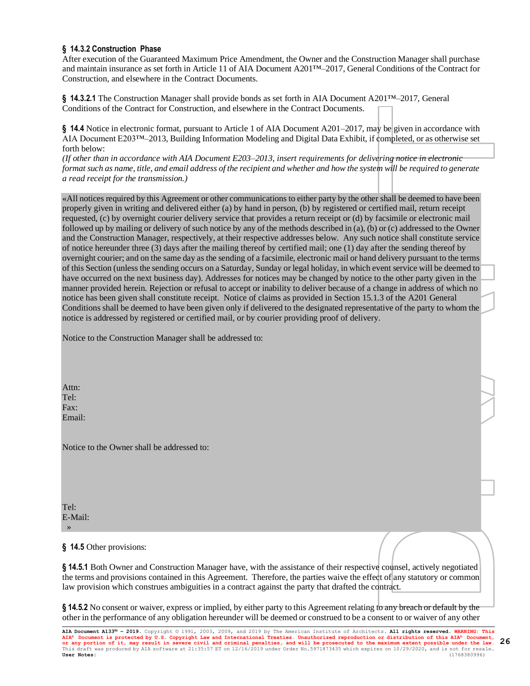# **§ 14.3.2 Construction Phase**

After execution of the Guaranteed Maximum Price Amendment, the Owner and the Construction Manager shall purchase and maintain insurance as set forth in Article 11 of AIA Document A201™–2017, General Conditions of the Contract for Construction, and elsewhere in the Contract Documents.

**§ 14.3.2.1** The Construction Manager shall provide bonds as set forth in AIA Document A201™–2017, General Conditions of the Contract for Construction, and elsewhere in the Contract Documents.

**§ 14.4** Notice in electronic format, pursuant to Article 1 of AIA Document A201–2017, may be given in accordance with AIA Document E203™–2013, Building Information Modeling and Digital Data Exhibit, if completed, or as otherwise set forth below:

*(If other than in accordance with AIA Document E203–2013, insert requirements for delivering notice in electronic format such as name, title, and email address of the recipient and whether and how the system will be required to generate a read receipt for the transmission.)*

«All notices required by this Agreement or other communications to either party by the other shall be deemed to have been properly given in writing and delivered either (a) by hand in person, (b) by registered or certified mail, return receipt requested, (c) by overnight courier delivery service that provides a return receipt or (d) by facsimile or electronic mail followed up by mailing or delivery of such notice by any of the methods described in (a), (b) or (c) addressed to the Owner and the Construction Manager, respectively, at their respective addresses below. Any such notice shall constitute service of notice hereunder three (3) days after the mailing thereof by certified mail; one (1) day after the sending thereof by overnight courier; and on the same day as the sending of a facsimile, electronic mail or hand delivery pursuant to the terms of this Section (unless the sending occurs on a Saturday, Sunday or legal holiday, in which event service will be deemed to have occurred on the next business day). Addresses for notices may be changed by notice to the other party given in the manner provided herein. Rejection or refusal to accept or inability to deliver because of a change in address of which no notice has been given shall constitute receipt. Notice of claims as provided in Section 15.1.3 of the A201 General Conditions shall be deemed to have been given only if delivered to the designated representative of the party to whom the notice is addressed by registered or certified mail, or by courier providing proof of delivery.

Notice to the Construction Manager shall be addressed to:

Attn: Tel: Fax: Email:

Notice to the Owner shall be addressed to:

Tel: E-Mail: »

### **§ 14.5** Other provisions:

**§ 14.5.1** Both Owner and Construction Manager have, with the assistance of their respective counsel, actively negotiated the terms and provisions contained in this Agreement. Therefore, the parties waive the effect of any statutory or common law provision which construes ambiguities in a contract against the party that drafted the contract.

**§ 14.5.2** No consent or waiver, express or implied, by either party to this Agreement relating to any breach or default by the other in the performance of any obligation hereunder will be deemed or construed to be a consent to or waiver of any other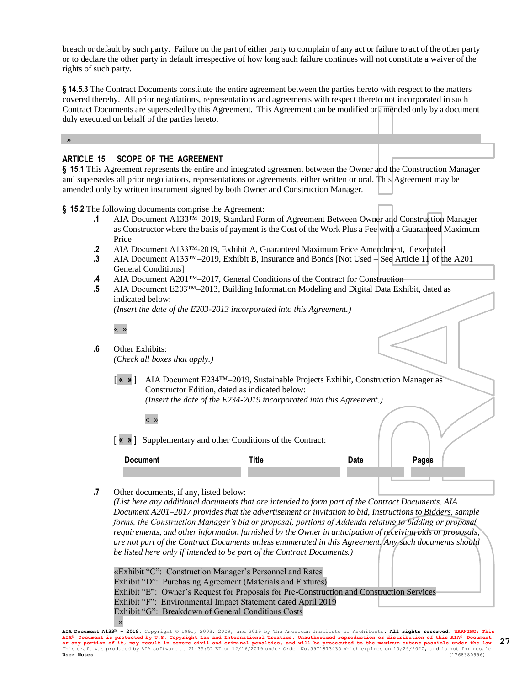breach or default by such party. Failure on the part of either party to complain of any act or failure to act of the other party or to declare the other party in default irrespective of how long such failure continues will not constitute a waiver of the rights of such party.

**§ 14.5.3** The Contract Documents constitute the entire agreement between the parties hereto with respect to the matters covered thereby. All prior negotiations, representations and agreements with respect thereto not incorporated in such Contract Documents are superseded by this Agreement. This Agreement can be modified or amended only by a document duly executed on behalf of the parties hereto.

»

# **ARTICLE 15 SCOPE OF THE AGREEMENT**

**§ 15.1** This Agreement represents the entire and integrated agreement between the Owner and the Construction Manager and supersedes all prior negotiations, representations or agreements, either written or oral. This Agreement may be amended only by written instrument signed by both Owner and Construction Manager.

**§ 15.2** The following documents comprise the Agreement:

- **.1** AIA Document A133™–2019, Standard Form of Agreement Between Owner and Construction Manager as Constructor where the basis of payment is the Cost of the Work Plus a Fee with a Guaranteed Maximum Price
- **.2** AIA Document A133™-2019, Exhibit A, Guaranteed Maximum Price Amendment, if executed
- **.3** AIA Document A133™–2019, Exhibit B, Insurance and Bonds [Not Used See Article 11 of the A201 General Conditions]
- **.4** AIA Document A201™–2017, General Conditions of the Contract for Construction
- **.5** AIA Document E203™–2013, Building Information Modeling and Digital Data Exhibit, dated as indicated below:

*(Insert the date of the E203-2013 incorporated into this Agreement.)*

« »

**.6** Other Exhibits: *(Check all boxes that apply.)*

« »

[ **« »** ] AIA Document E234™–2019, Sustainable Projects Exhibit, Construction Manager as Constructor Edition, dated as indicated below:

*(Insert the date of the E234-2019 incorporated into this Agreement.)*

[ **« »** ] Supplementary and other Conditions of the Contract:

| <b>Document</b> | data<br>.aw | نام بم به ۲<br>ues. |
|-----------------|-------------|---------------------|
|                 |             |                     |

**.7** Other documents, if any, listed below:

*(List here any additional documents that are intended to form part of the Contract Documents. AIA Document A201–2017 provides that the advertisement or invitation to bid, Instructions to Bidders, sample forms, the Construction Manager's bid or proposal, portions of Addenda relating to bidding or proposal requirements, and other information furnished by the Owner in anticipation of receiving bids or proposals, are not part of the Contract Documents unless enumerated in this Agreement. Any such documents should be listed here only if intended to be part of the Contract Documents.)*

«Exhibit "C": Construction Manager's Personnel and Rates Exhibit "D": Purchasing Agreement (Materials and Fixtures) Exhibit "E": Owner's Request for Proposals for Pre-Construction and Construction Services Exhibit "F": Environmental Impact Statement dated April 2019 Exhibit "G": Breakdown of General Conditions Costs »